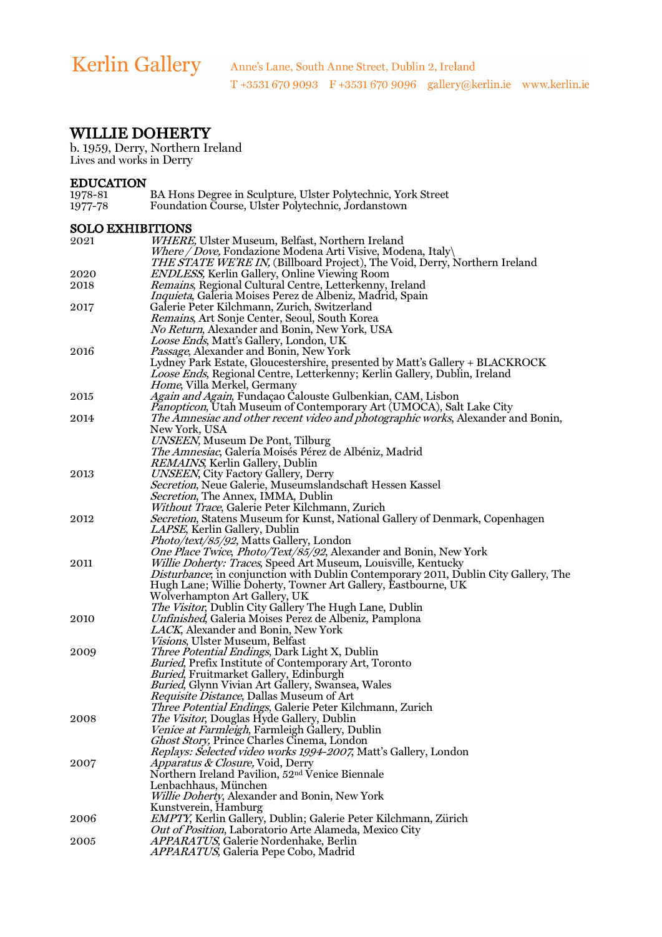# WILLIE DOHERTY

b. 1959, Derry, Northern Ireland Lives and works in Derry

| <b>EDUCATION</b> |                                                              |
|------------------|--------------------------------------------------------------|
| 1978-81          | BA Hons Degree in Sculpture, Ulster Polytechnic, York Street |
| 1977-78          | Foundation Course, Ulster Polytechnic, Jordanstown           |

#### SOLO EXHIBITIONS

| 2021 | WHERE, Ulster Museum, Belfast, Northern Ireland                                             |
|------|---------------------------------------------------------------------------------------------|
|      | <i>Where / Dove, Fondazione Modena Arti Visive, Modena, Italy</i>                           |
|      | THE STATE WE'RE IN, (Billboard Project), The Void, Derry, Northern Ireland                  |
|      | <b>ENDLESS, Kerlin Gallery, Online Viewing Room</b>                                         |
| 2020 |                                                                                             |
| 2018 | <i>Remains</i> , Regional Cultural Centre, Letterkenny, Ireland                             |
|      | <i>Inquieta</i> , Galeria Moises Perez de Albeniz, Madrid, Spain                            |
| 2017 | Galerie Peter Kilchmann, Zurich, Switzerland                                                |
|      | Remains, Art Sonje Center, Seoul, South Korea                                               |
|      | <i>No Return</i> , Alexander and Bonin, New York, USA                                       |
|      | <i>Loose Ends</i> , Matt's Gallery, London, UK                                              |
| 2016 | <i>Passage</i> , Alexander and Bonin, New York                                              |
|      | Lydney Park Estate, Gloucestershire, presented by Matt's Gallery + BLACKROCK                |
|      | Loose Ends, Regional Centre, Letterkenny; Kerlin Gallery, Dublin, Ireland                   |
|      |                                                                                             |
|      | <i>Home, Villa Merkel, Germany</i>                                                          |
| 2015 | Again and Again, Fundaçao Calouste Gulbenkian, CAM, Lisbon                                  |
|      | <i>Panopticon</i> , Utah Museum of Contemporary Art (UMOCA), Salt Lake City                 |
| 2014 | The Amnesiac and other recent video and photographic works, Alexander and Bonin,            |
|      | New York, USA                                                                               |
|      | UNSEEN, Museum De Pont, Tilburg                                                             |
|      | The Amnesiac, Galería Moisés Pérez de Albéniz, Madrid                                       |
|      | <i>REMAINS</i> , Kerlin Gallery, Dublin                                                     |
| 2013 | UNSEEN, City Factory Gallery, Derry                                                         |
|      | Secretion, Neue Galerie, Museumslandschaft Hessen Kassel                                    |
|      | Secretion, The Annex, IMMA, Dublin                                                          |
|      |                                                                                             |
|      | Without Trace, Galerie Peter Kilchmann, Zurich                                              |
| 2012 | Secretion, Statens Museum for Kunst, National Gallery of Denmark, Copenhagen                |
|      | <i>LAPSE</i> , Kerlin Gallery, Dublin                                                       |
|      | Photo/text/85/92, Matts Gallery, London                                                     |
|      | One Place Twice, Photo/Text/85/92, Alexander and Bonin, New York                            |
| 2011 | <i>Willie Doherty: Traces, Speed Art Museum, Louisville, Kentucky</i>                       |
|      | <i>Disturbance</i> ; in conjunction with Dublin Contemporary 2011, Dublin City Gallery, The |
|      | Hugh Lane; Willie Doherty, Towner Art Gallery, Eastbourne, UK                               |
|      | Wolverhampton Art Gallery, UK                                                               |
|      | <i>The Visitor</i> , Dublin City Gallery The Hugh Lane, Dublin                              |
| 2010 | <i>Unfinished</i> , Galeria Moises Perez de Albeniz, Pamplona                               |
|      |                                                                                             |
|      | <i>LACK</i> , Alexander and Bonin, New York                                                 |
|      | <i>Visions</i> , Ulster Museum, Belfast                                                     |
| 2009 | Three Potential Endings, Dark Light X, Dublin                                               |
|      | <i>Buried</i> , Prefix Institute of Contemporary Art, Toronto                               |
|      | <b>Buried, Fruitmarket Gallery, Edinburgh</b>                                               |
|      | <i>Buried</i> , Glynn Vivian Art Gallery, Swansea, Wales                                    |
|      | Requisite Distance, Dallas Museum of Art                                                    |
|      | Three Potential Endings, Galerie Peter Kilchmann, Zurich                                    |
| 2008 | <i>The Visitor</i> , Douglas Hyde Gallery, Dublin                                           |
|      | Venice at Farmleigh, Farmleigh Gallery, Dublin                                              |
|      | Ghost Story, Prince Charles Cinema, London                                                  |
|      | Replays: Selected video works 1994-2007, Matt's Gallery, London                             |
|      |                                                                                             |
| 2007 | Apparatus & Closure, Void, Derry                                                            |
|      | Northern Ireland Pavilion, 52 <sup>nd</sup> Venice Biennale                                 |
|      | Lenbachhaus, München                                                                        |
|      | Willie Doherty, Alexander and Bonin, New York                                               |
|      | Kunstverein, Hamburg                                                                        |
| 2006 | EMPTY, Kerlin Gallery, Dublin; Galerie Peter Kilchmann, Zürich                              |
|      | Out of Position, Laboratorio Arte Alameda, Mexico City                                      |
| 2005 | APPARATUS, Galerie Nordenhake, Berlin                                                       |
|      | <i>APPARATUS</i> , Galeria Pepe Cobo, Madrid                                                |
|      |                                                                                             |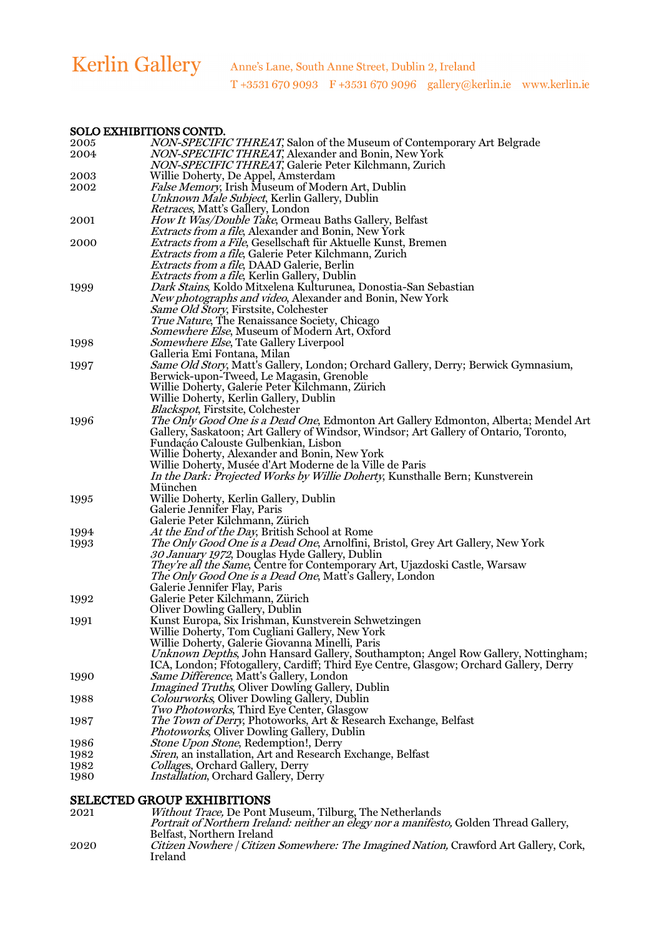#### SOLO EXHIBITIONS CONTD.

| 2005 | NON-SPECIFIC THREAT, Salon of the Museum of Contemporary Art Belgrade                                                         |
|------|-------------------------------------------------------------------------------------------------------------------------------|
| 2004 | NON-SPECIFIC THREAT, Alexander and Bonin, New York                                                                            |
|      | NON-SPECIFIC THREAT, Galerie Peter Kilchmann, Zurich                                                                          |
| 2003 | Willie Doherty, De Appel, Amsterdam                                                                                           |
| 2002 | <i>False Memory</i> , Irish Museum of Modern Art, Dublin                                                                      |
|      | Unknown Male Subject, Kerlin Gallery, Dublin                                                                                  |
|      | <i>Retraces</i> , Matt's Gallery, London                                                                                      |
| 2001 | <i>How It Was/Double Take,</i> Ormeau Baths Gallery, Belfast                                                                  |
|      | <i>Extracts from a file, Alexander and Bonin, New York</i>                                                                    |
| 2000 | Extracts from a File, Gesellschaft für Aktuelle Kunst, Bremen                                                                 |
|      | <i>Extracts from a file</i> , Galerie Peter Kilchmann, Zurich                                                                 |
|      | <i>Extracts from a file, DAAD Galerie, Berlin</i>                                                                             |
|      |                                                                                                                               |
|      | <i>Extracts from a file, Kerlin Gallery, Dublin</i><br>Dark Stains, Koldo Mitxelena Kulturunea, Donostia-San Sebastian        |
| 1999 |                                                                                                                               |
|      | New photographs and video, Alexander and Bonin, New York                                                                      |
|      | Same Old Story, Firstsite, Colchester                                                                                         |
|      | <i>True Nature</i> , The Renaissance Society, Chicago                                                                         |
|      | Somewhere Else, Museum of Modern Art, Oxford                                                                                  |
| 1998 | Somewhere Else, Tate Gallery Liverpool                                                                                        |
|      | Galleria Emi Fontana, Milan                                                                                                   |
| 1997 | Same Old Story, Matt's Gallery, London; Orchard Gallery, Derry; Berwick Gymnasium,                                            |
|      | Berwick-upon-Tweed, Le Magasin, Grenoble                                                                                      |
|      | Willie Doherty, Galerie Peter Kilchmann, Zürich                                                                               |
|      | Willie Doherty, Kerlin Gallery, Dublin                                                                                        |
|      | <b>Blackspot, Firstsite, Colchester</b>                                                                                       |
| 1996 | The Only Good One is a Dead One, Edmonton Art Gallery Edmonton, Alberta; Mendel Art                                           |
|      | Gallery, Saskatoon; Art Gallery of Windsor, Windsor; Art Gallery of Ontario, Toronto,<br>Fundação Calouste Gulbenkian, Lisbon |
|      | Willie Doherty, Alexander and Bonin, New York                                                                                 |
|      | Willie Doherty, Musée d'Art Moderne de la Ville de Paris                                                                      |
|      | In the Dark: Projected Works by Willie Doherty, Kunsthalle Bern; Kunstverein                                                  |
|      | München                                                                                                                       |
| 1995 | Willie Doherty, Kerlin Gallery, Dublin                                                                                        |
|      | Galerie Jennifer Flay, Paris                                                                                                  |
|      | Galerie Peter Kilchmann, Zürich                                                                                               |
| 1994 | At the End of the Day, British School at Rome                                                                                 |
| 1993 | The Only Good One is a Dead One, Arnolfini, Bristol, Grey Art Gallery, New York                                               |
|      | 30 January 1972, Douglas Hyde Gallery, Dublin                                                                                 |
|      | They're all the Same, Centre for Contemporary Art, Ujazdoski Castle, Warsaw                                                   |
|      | <i>The Only Good One is a Dead One</i> , Matt's Gallery, London                                                               |
|      | Galerie Jennifer Flay, Paris                                                                                                  |
| 1992 | Galerie Peter Kilchmann, Zürich                                                                                               |
|      | Oliver Dowling Gallery, Dublin                                                                                                |
| 1991 | Kunst Europa, Six Irishman, Kunstverein Schwetzingen                                                                          |
|      | Willie Doherty, Tom Cugliani Gallery, New York                                                                                |
|      | Willie Doherty, Galerie Giovanna Minelli, Paris                                                                               |
|      | Unknown Depths, John Hansard Gallery, Southampton; Angel Row Gallery, Nottingham;                                             |
|      | ICA, London; Ffotogallery, Cardiff; Third Eye Centre, Glasgow; Orchard Gallery, Derry                                         |
| 1990 | Same Difference, Matt's Gallery, London                                                                                       |
|      | <i>Imagined Truths</i> , Oliver Dowling Gallery, Dublin                                                                       |
| 1988 | Colourworks, Oliver Dowling Gallery, Dublin                                                                                   |
|      | Two Photoworks, Third Eye Center, Glasgow                                                                                     |
| 1987 | The Town of Derry, Photoworks, Art & Research Exchange, Belfast                                                               |
|      | Photoworks, Oliver Dowling Gallery, Dublin                                                                                    |
| 1986 | <i>Stone Upon Stone, Redemption!, Derry</i>                                                                                   |
| 1982 | Siren, an installation, Art and Research Exchange, Belfast                                                                    |
| 1982 | Collages, Orchard Gallery, Derry                                                                                              |
| 1980 | <i>Installation</i> , Orchard Gallery, Derry                                                                                  |
|      |                                                                                                                               |

|      | <b>SELECTED GROUP EXHIBITIONS</b>                                                      |
|------|----------------------------------------------------------------------------------------|
| 2021 | Without Trace, De Pont Museum, Tilburg, The Netherlands                                |
|      | Portrait of Northern Ireland: neither an elegy nor a manifesto, Golden Thread Gallery, |
|      | Belfast. Northern Ireland                                                              |
| 2020 | Citizen Nowhere / Citizen Somewhere: The Imagined Nation, Crawford Art Gallery, Cork,  |
|      | Ireland                                                                                |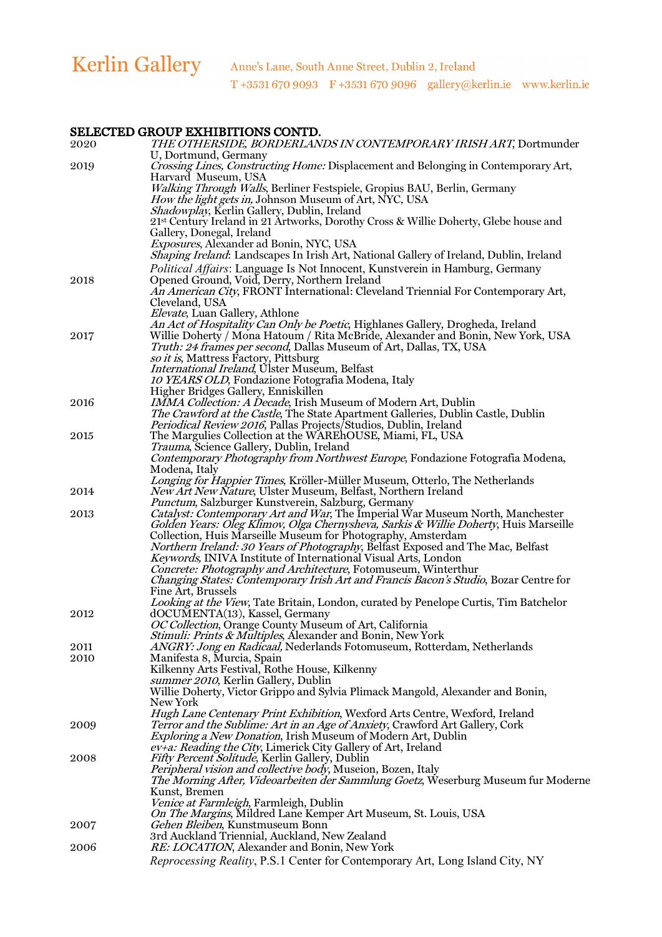# SELECTED GROUP EXHIBITIONS CONTD.

| ~~~~~~~<br>2020 | anool <i>mailbelloin</i> cont <i>ib</i> :<br>THE OTHERSIDE, BORDERLANDS IN CONTEMPORARY IRISH ART, Dortmunder                                             |
|-----------------|-----------------------------------------------------------------------------------------------------------------------------------------------------------|
| 2019            | U, Dortmund, Germany<br><i>Crossing Lines, Constructing Home:</i> Displacement and Belonging in Contemporary Art,                                         |
|                 | Harvard Museum, USA                                                                                                                                       |
|                 | Walking Through Walls, Berliner Festspiele, Gropius BAU, Berlin, Germany<br><i>How the light gets in, Johnson Museum of Art, NYC, USA</i>                 |
|                 | Shadowplay, Kerlin Gallery, Dublin, Ireland                                                                                                               |
|                 | 21st Century Ireland in 21 Artworks, Dorothy Cross & Willie Doherty, Glebe house and<br>Gallery, Donegal, Ireland                                         |
|                 | Exposures, Alexander ad Bonin, NYC, USA                                                                                                                   |
|                 | Shaping Ireland: Landscapes In Irish Art, National Gallery of Ireland, Dublin, Ireland                                                                    |
| 2018            | Political Affairs: Language Is Not Innocent, Kunstverein in Hamburg, Germany<br>Opened Ground, Void, Derry, Northern Ireland                              |
|                 | An American City, FRONT International: Cleveland Triennial For Contemporary Art,                                                                          |
|                 | Cleveland, USA<br>Elevate, Luan Gallery, Athlone                                                                                                          |
|                 | An Act of Hospitality Can Only be Poetic, Highlanes Gallery, Drogheda, Ireland                                                                            |
| 2017            | Willie Doherty / Mona Hatoum / Rita McBride, Alexander and Bonin, New York, USA                                                                           |
|                 | <i>Truth: 24 frames per second</i> , Dallas Museum of Art, Dallas, TX, USA<br>so it is, Mattress Factory, Pittsburg                                       |
|                 | <i>International Ireland</i> , Ulster Museum, Belfast                                                                                                     |
|                 | 10 YEARS OLD, Fondazione Fotografia Modena, Italy<br>Higher Bridges Gallery, Enniskillen                                                                  |
| 2016            | IMMA Collection: A Decade, Irish Museum of Modern Art, Dublin                                                                                             |
|                 | The Crawford at the Castle, The State Apartment Galleries, Dublin Castle, Dublin                                                                          |
| 2015            | Periodical Review 2016, Pallas Projects/Studios, Dublin, Ireland<br>The Margulies Collection at the WAREhOUSE, Miami, FL, USA                             |
|                 | Trauma, Science Gallery, Dublin, Ireland                                                                                                                  |
|                 | Contemporary Photography from Northwest Europe, Fondazione Fotografia Modena,                                                                             |
|                 | Modena, Italy<br>Longing for Happier Times, Kröller-Müller Museum, Otterlo, The Netherlands                                                               |
| 2014            | New Art New Nature, Ulster Museum, Belfast, Northern Ireland                                                                                              |
| 2013            | Punctum, Salzburger Kunstverein, Salzburg, Germany<br><i>Catalyst: Contemporary Art and War</i> , The Imperial War Museum North, Manchester               |
|                 | Golden Years: Oleg Klimov, Olga Chernysheva, Sarkis & Willie Doherty, Huis Marseille                                                                      |
|                 | Collection, Huis Marseille Museum for Photography, Amsterdam                                                                                              |
|                 | <i>Northern Ireland: 30 Years of Photography</i> , Belfast Exposed and The Mac, Belfast<br>Keywords, INIVA Institute of International Visual Arts, London |
|                 | Concrete: Photography and Architecture, Fotomuseum, Winterthur                                                                                            |
|                 | Changing States: Contemporary Irish Art and Francis Bacon's Studio, Bozar Centre for<br>Fine Art, Brussels                                                |
|                 | Looking at the View, Tate Britain, London, curated by Penelope Curtis, Tim Batchelor                                                                      |
| 2012            | dOCUMENTA(13), Kassel, Germany                                                                                                                            |
|                 | OC Collection, Orange County Museum of Art, California<br>Stimuli: Prints & Multiples, Alexander and Bonin, New York                                      |
| 2011            | <i>ANGRY: Jong en Radicaal,</i> Nederlands Fotomuseum, Rotterdam, Netherlands                                                                             |
| 2010            | Manifesta 8, Murcia, Spain<br>Kilkenny Arts Festival, Rothe House, Kilkenny                                                                               |
|                 | summer 2010, Kerlin Gallery, Dublin                                                                                                                       |
|                 | Willie Doherty, Victor Grippo and Sylvia Plimack Mangold, Alexander and Bonin,                                                                            |
|                 | New York<br>Hugh Lane Centenary Print Exhibition, Wexford Arts Centre, Wexford, Ireland                                                                   |
| 2009            | Terror and the Sublime: Art in an Age of Anxiety, Crawford Art Gallery, Cork                                                                              |
|                 | <i>Exploring a New Donation</i> , Irish Museum of Modern Art, Dublin<br>ev+a: Reading the City, Limerick City Gallery of Art, Ireland                     |
| 2008            | Fifty Percent Solitude, Kerlin Gallery, Dublin                                                                                                            |
|                 | Peripheral vision and collective body, Museion, Bozen, Italy                                                                                              |
|                 | The Morning After, Videoarbeiten der Sammlung Goetz, Weserburg Museum fur Moderne<br>Kunst, Bremen                                                        |
|                 | Venice at Farmleigh, Farmleigh, Dublin                                                                                                                    |
|                 | On The Margins, Mildred Lane Kemper Art Museum, St. Louis, USA<br>Gehen Bleiben, Kunstmuseum Bonn                                                         |
| 2007            | 3rd Auckland Triennial, Auckland, New Zealand                                                                                                             |
| 2006            | RE: LOCATION, Alexander and Bonin, New York                                                                                                               |
|                 | Reprocessing Reality, P.S.1 Center for Contemporary Art, Long Island City, NY                                                                             |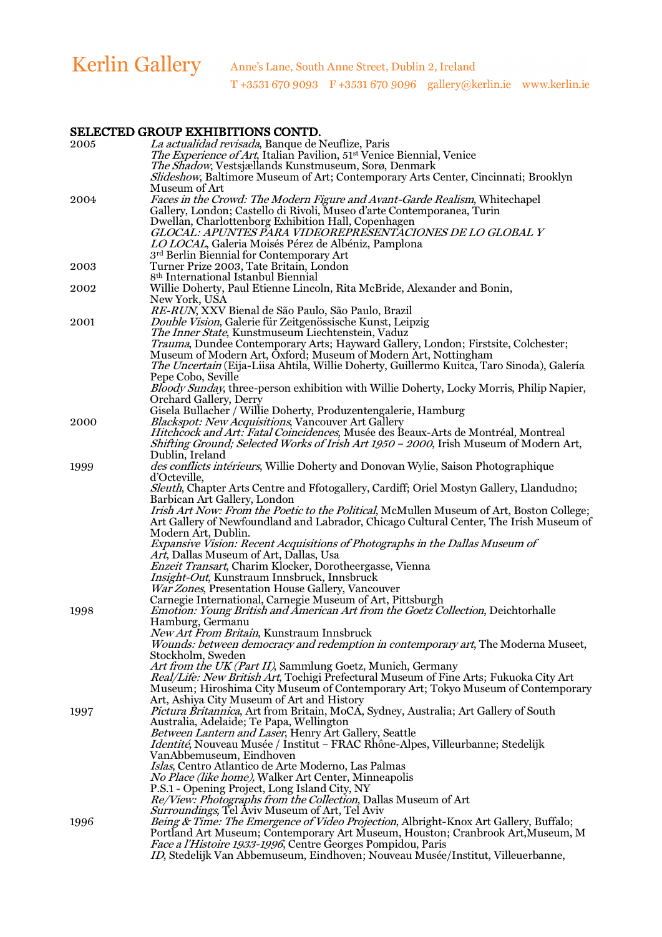# SELECTED GROUP EXHIBITIONS CONTD.

| $\,2005\,$ | La actualidad revisada, Banque de Neuflize, Paris                                                                                                                                  |
|------------|------------------------------------------------------------------------------------------------------------------------------------------------------------------------------------|
|            | The Experience of Art, Italian Pavilion, 51 <sup>st</sup> Venice Biennial, Venice                                                                                                  |
|            | The Shadow, Vestsjællands Kunstmuseum, Sorø, Denmark                                                                                                                               |
|            | Slideshow, Baltimore Museum of Art; Contemporary Arts Center, Cincinnati; Brooklyn<br>Museum of Art                                                                                |
| 2004       | Faces in the Crowd: The Modern Figure and Avant-Garde Realism, White chapel                                                                                                        |
|            | Gallery, London; Castello di Rivoli, Museo d'arte Contemporanea, Turin                                                                                                             |
|            | Dwellan, Charlottenborg Exhibition Hall, Copenhagen                                                                                                                                |
|            | GLOCAL: APUNTES PARA VIDEOREPRESENTACIONES DE LO GLOBAL Y                                                                                                                          |
|            | LO LOCAL, Galeria Moisés Pérez de Albéniz, Pamplona<br>3rd Berlin Biennial for Contemporary Art                                                                                    |
| 2003       | Turner Prize 2003, Tate Britain, London                                                                                                                                            |
|            | 8 <sup>th</sup> International Istanbul Biennial                                                                                                                                    |
| 2002       | Willie Doherty, Paul Etienne Lincoln, Rita McBride, Alexander and Bonin,                                                                                                           |
|            | New York, USA                                                                                                                                                                      |
|            | RE-RUN, XXV Bienal de São Paulo, São Paulo, Brazil                                                                                                                                 |
| 2001       | Double Vision, Galerie für Zeitgenössische Kunst, Leipzig<br>The Inner State, Kunstmuseum Liechtenstein, Vaduz                                                                     |
|            | Trauma, Dundee Contemporary Arts; Hayward Gallery, London; Firstsite, Colchester;                                                                                                  |
|            | Museum of Modern Art, Oxford; Museum of Modern Art, Nottingham                                                                                                                     |
|            | The Uncertain (Eija-Liisa Ahtila, Willie Doherty, Guillermo Kuitca, Taro Sinoda), Galería                                                                                          |
|            | Pepe Cobo, Seville                                                                                                                                                                 |
|            | Bloody Sunday, three-person exhibition with Willie Doherty, Locky Morris, Philip Napier,<br>Orchard Gallery, Derry                                                                 |
|            | Gisela Bullacher / Willie Doherty, Produzentengalerie, Hamburg                                                                                                                     |
| 2000       | <b>Blackspot: New Acquisitions, Vancouver Art Gallery</b>                                                                                                                          |
|            | <i>Hitchcock and Art: Fatal Coincidences</i> , Musée des Beaux-Arts de Montréal, Montreal                                                                                          |
|            | Shifting Ground; Selected Works of Irish Art 1950 - 2000, Irish Museum of Modern Art,                                                                                              |
| 1999       | Dublin, Ireland<br>des conflicts intérieurs, Willie Doherty and Donovan Wylie, Saison Photographique                                                                               |
|            | d'Octeville,                                                                                                                                                                       |
|            | Sleuth, Chapter Arts Centre and Ffotogallery, Cardiff; Oriel Mostyn Gallery, Llandudno;                                                                                            |
|            | Barbican Art Gallery, London                                                                                                                                                       |
|            | Irish Art Now: From the Poetic to the Political, McMullen Museum of Art, Boston College;<br>Art Gallery of Newfoundland and Labrador, Chicago Cultural Center, The Irish Museum of |
|            | Modern Art, Dublin.                                                                                                                                                                |
|            | Expansive Vision: Recent Acquisitions of Photographs in the Dallas Museum of                                                                                                       |
|            | Art, Dallas Museum of Art, Dallas, Usa                                                                                                                                             |
|            | Enzeit Transart, Charim Klocker, Dorotheergasse, Vienna<br>Insight-Out, Kunstraum Innsbruck, Innsbruck                                                                             |
|            | War Zones, Presentation House Gallery, Vancouver                                                                                                                                   |
|            | Carnegie International, Carnegie Museum of Art, Pittsburgh                                                                                                                         |
| 1998       | Emotion: Young British and American Art from the Goetz Collection, Deichtorhalle                                                                                                   |
|            | Hamburg, Germanu                                                                                                                                                                   |
|            | New Art From Britain, Kunstraum Innsbruck<br>Wounds: between democracy and redemption in contemporary art, The Moderna Museet,                                                     |
|            | Stockholm, Sweden                                                                                                                                                                  |
|            | Art from the UK (Part II), Sammlung Goetz, Munich, Germany                                                                                                                         |
|            | Real/Life: New British Art, Tochigi Prefectural Museum of Fine Arts; Fukuoka City Art                                                                                              |
|            | Museum; Hiroshima City Museum of Contemporary Art; Tokyo Museum of Contemporary                                                                                                    |
| 1997       | Art, Ashiya City Museum of Art and History<br>Pictura Britannica, Art from Britain, MoCA, Sydney, Australia; Art Gallery of South                                                  |
|            | Australia, Adelaide; Te Papa, Wellington                                                                                                                                           |
|            | Between Lantern and Laser, Henry Art Gallery, Seattle                                                                                                                              |
|            | <i>Identité</i> , Nouveau Musée / Institut – FRAC Rhône-Alpes, Villeurbanne; Stedelijk                                                                                             |
|            | VanAbbemuseum, Eindhoven                                                                                                                                                           |
|            | Islas, Centro Atlantico de Arte Moderno, Las Palmas<br><i>No Place (like home)</i> , Walker Art Center, Minneapolis                                                                |
|            | P.S.1 - Opening Project, Long Island City, NY                                                                                                                                      |
|            | Re/View: Photographs from the Collection, Dallas Museum of Art                                                                                                                     |
|            | <i>Surroundings</i> , Tel Aviv Museum of Art, Tel Aviv                                                                                                                             |
| 1996       | Being & Time: The Emergence of Video Projection, Albright-Knox Art Gallery, Buffalo;                                                                                               |
|            | Portland Art Museum; Contemporary Art Museum, Houston; Cranbrook Art, Museum, M<br><i>Face a l'Histoire 1933-1996</i> , Centre Georges Pompidou, Paris                             |
|            | ID, Stedelijk Van Abbemuseum, Eindhoven; Nouveau Musée/Institut, Villeuerbanne,                                                                                                    |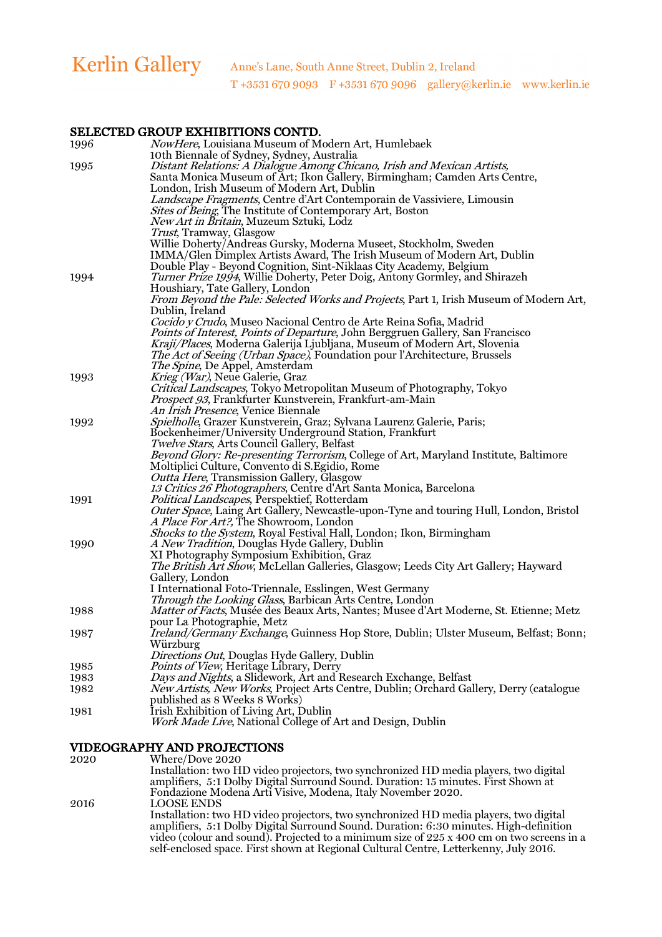### SELECTED GROUP EXHIBITIONS CONTD.

| 1996 | NowHere, Louisiana Museum of Modern Art, Humlebaek<br>10th Biennale of Sydney, Sydney, Australia |
|------|--------------------------------------------------------------------------------------------------|
| 1995 | Distant Relations: A Dialogue Among Chicano, Irish and Mexican Artists,                          |
|      | Santa Monica Museum of Art; Ikon Gallery, Birmingham; Camden Arts Centre,                        |
|      | London, Irish Museum of Modern Art, Dublin                                                       |
|      | Landscape Fragments, Centre d'Art Contemporain de Vassiviere, Limousin                           |
|      | Sites of Being, The Institute of Contemporary Art, Boston                                        |
|      | <i>New Art in Britain</i> , Muzeum Sztuki, Lodz                                                  |
|      | <i>Trust</i> , Tramway, Glasgow                                                                  |
|      | Willie Doherty/Andreas Gursky, Moderna Museet, Stockholm, Sweden                                 |
|      | IMMA/Glen Dimplex Artists Award, The Irish Museum of Modern Art, Dublin                          |
|      | Double Play - Beyond Cognition, Sint-Niklaas City Academy, Belgium                               |
| 1994 | Turner Prize 1994, Willie Doherty, Peter Doig, Antony Gormley, and Shirazeh                      |
|      | Houshiary, Tate Gallery, London                                                                  |
|      | From Beyond the Pale: Selected Works and Projects, Part 1, Irish Museum of Modern Art,           |
|      | Dublin, Ireland                                                                                  |
|      | Cocido y Crudo, Museo Nacional Centro de Arte Reina Sofia, Madrid                                |
|      | Points of Interest, Points of Departure, John Berggruen Gallery, San Francisco                   |
|      | Kraji/Places, Moderna Galerija Ljubljana, Museum of Modern Art, Slovenia                         |
|      | <i>The Act of Seeing (Urban Space)</i> , Foundation pour l'Architecture, Brussels                |
|      | <i>The Spine</i> , De Appel, Amsterdam                                                           |
| 1993 | Krieg (War), Neue Galerie, Graz                                                                  |
|      | Critical Landscapes, Tokyo Metropolitan Museum of Photography, Tokyo                             |
|      | Prospect 93, Frankfurter Kunstverein, Frankfurt-am-Main                                          |
|      | An Irish Presence, Venice Biennale                                                               |
| 1992 | Spielholle, Grazer Kunstverein, Graz; Sylvana Laurenz Galerie, Paris;                            |
|      | Bockenheimer/University Underground Station, Frankfurt                                           |
|      | Twelve Stars, Arts Council Gallery, Belfast                                                      |
|      | Beyond Glory: Re-presenting Terrorism, College of Art, Maryland Institute, Baltimore             |
|      | Moltiplici Culture, Convento di S. Egidio, Rome                                                  |
|      | <i>Outta Here, Transmission Gallery, Glasgow</i>                                                 |
|      | 13 Critics 26 Photographers, Centre d'Art Santa Monica, Barcelona                                |
| 1991 | Political Landscapes, Perspektief, Rotterdam                                                     |
|      | Outer Space, Laing Art Gallery, Newcastle-upon-Tyne and touring Hull, London, Bristol            |
|      | A Place For Art?, The Showroom, London                                                           |
|      | Shocks to the System, Royal Festival Hall, London; Ikon, Birmingham                              |
| 1990 | A New Tradition, Douglas Hyde Gallery, Dublin                                                    |
|      | XI Photography Symposium Exhibition, Graz                                                        |
|      | The British Art Show, McLellan Galleries, Glasgow; Leeds City Art Gallery; Hayward               |
|      | Gallery, London                                                                                  |
|      | I International Foto-Triennale, Esslingen, West Germany                                          |
|      | Through the Looking Glass, Barbican Arts Centre, London                                          |
| 1988 | Matter of Facts, Musée des Beaux Arts, Nantes; Musee d'Art Moderne, St. Etienne; Metz            |
|      | pour La Photographie, Metz                                                                       |
| 1987 | Ireland/Germany Exchange, Guinness Hop Store, Dublin; Ulster Museum, Belfast; Bonn;              |
|      | Würzburg                                                                                         |
|      | Directions Out, Douglas Hyde Gallery, Dublin                                                     |
| 1985 | Points of View, Heritage Library, Derry                                                          |
| 1983 | Days and Nights, a Slidework, Art and Research Exchange, Belfast                                 |
| 1982 | New Artists, New Works, Project Arts Centre, Dublin; Orchard Gallery, Derry (catalogue           |
|      | published as 8 Weeks 8 Works)                                                                    |
| 1981 | Irish Exhibition of Living Art, Dublin                                                           |
|      | Work Made Live, National College of Art and Design, Dublin                                       |

### VIDEOGRAPHY AND PROJECTIONS

| 2020 | Where/Dove 2020                                                                           |
|------|-------------------------------------------------------------------------------------------|
|      | Installation: two HD video projectors, two synchronized HD media players, two digital     |
|      | amplifiers, 5:1 Dolby Digital Surround Sound. Duration: 15 minutes. First Shown at        |
|      | Fondazione Modena Arti Visive, Modena, Italy November 2020.                               |
| 2016 | <b>LOOSE ENDS</b>                                                                         |
|      | Installation: two HD video projectors, two synchronized HD media players, two digital     |
|      | amplifiers, 5:1 Dolby Digital Surround Sound. Duration: 6:30 minutes. High-definition     |
|      | video (colour and sound). Projected to a minimum size of 225 x 400 cm on two screens in a |
|      | self-enclosed space. First shown at Regional Cultural Centre, Letterkenny, July 2016.     |
|      |                                                                                           |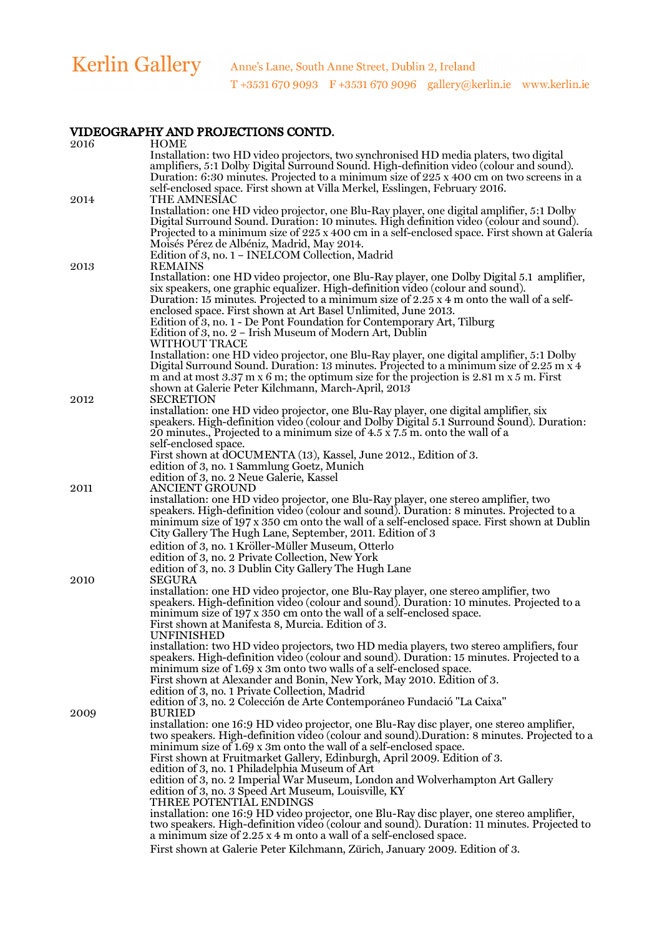| 2016 | <b>HOME</b>                                                                                                                                                                           |
|------|---------------------------------------------------------------------------------------------------------------------------------------------------------------------------------------|
|      | Installation: two HD video projectors, two synchronised HD media platers, two digital                                                                                                 |
|      | amplifiers, 5:1 Dolby Digital Surround Sound. High-definition video (colour and sound).                                                                                               |
|      | Duration: 6:30 minutes. Projected to a minimum size of $225 \times 400$ cm on two screens in a                                                                                        |
|      | self-enclosed space. First shown at Villa Merkel, Esslingen, February 2016.                                                                                                           |
| 2014 | <b>THE AMNESIAC</b>                                                                                                                                                                   |
|      | Installation: one HD video projector, one Blu-Ray player, one digital amplifier, 5:1 Dolby<br>Digital Surround Sound. Duration: 10 minutes. High definition video (colour and sound). |
|      | Projected to a minimum size of 225 x 400 cm in a self-enclosed space. First shown at Galería                                                                                          |
|      | Moisés Pérez de Albéniz, Madrid, May 2014.                                                                                                                                            |
|      | Edition of 3, no. 1 - INELCOM Collection, Madrid                                                                                                                                      |
| 2013 | <b>REMAINS</b>                                                                                                                                                                        |
|      | Installation: one HD video projector, one Blu-Ray player, one Dolby Digital 5.1 amplifier,                                                                                            |
|      | six speakers, one graphic equalizer. High-definition video (colour and sound).                                                                                                        |
|      | Duration: 15 minutes. Projected to a minimum size of $2.25 \times 4$ m onto the wall of a self-                                                                                       |
|      | enclosed space. First shown at Art Basel Unlimited, June 2013.                                                                                                                        |
|      | Edition of 3, no. 1 - De Pont Foundation for Contemporary Art, Tilburg<br>Edition of 3, no. 2 - Irish Museum of Modern Art, Dublin                                                    |
|      | WITHOUT TRACE                                                                                                                                                                         |
|      | Installation: one HD video projector, one Blu-Ray player, one digital amplifier, 5:1 Dolby                                                                                            |
|      | Digital Surround Sound. Duration: 13 minutes. Projected to a minimum size of 2.25 m x 4                                                                                               |
|      | m and at most $3.37$ m x 6 m; the optimum size for the projection is $2.81$ m x 5 m. First                                                                                            |
|      | shown at Galerie Peter Kilchmann, March-April, 2013                                                                                                                                   |
| 2012 | <b>SECRETION</b>                                                                                                                                                                      |
|      | installation: one HD video projector, one Blu-Ray player, one digital amplifier, six<br>speakers. High-definition video (colour and Dolby Digital 5.1 Surround Sound). Duration:      |
|      | 20 minutes., Projected to a minimum size of 4.5 x 7.5 m. onto the wall of a                                                                                                           |
|      | self-enclosed space.                                                                                                                                                                  |
|      | First shown at dOCUMENTA (13), Kassel, June 2012., Edition of 3.                                                                                                                      |
|      | edition of 3, no. 1 Sammlung Goetz, Munich                                                                                                                                            |
|      | edition of 3, no. 2 Neue Galerie, Kassel                                                                                                                                              |
| 2011 | <b>ANCIENT GROUND</b>                                                                                                                                                                 |
|      | installation: one HD video projector, one Blu-Ray player, one stereo amplifier, two                                                                                                   |
|      | speakers. High-definition video (colour and sound). Duration: 8 minutes. Projected to a<br>minimum size of 197 x 350 cm onto the wall of a self-enclosed space. First shown at Dublin |
|      | City Gallery The Hugh Lane, September, 2011. Edition of 3                                                                                                                             |
|      | edition of 3, no. 1 Kröller-Müller Museum, Otterlo                                                                                                                                    |
|      | edition of 3, no. 2 Private Collection, New York                                                                                                                                      |
|      | edition of 3, no. 3 Dublin City Gallery The Hugh Lane                                                                                                                                 |
| 2010 | <b>SEGURA</b>                                                                                                                                                                         |
|      | installation: one HD video projector, one Blu-Ray player, one stereo amplifier, two                                                                                                   |
|      | speakers. High-definition video (colour and sound). Duration: 10 minutes. Projected to a                                                                                              |
|      | minimum size of 197 x 350 cm onto the wall of a self-enclosed space.<br>First shown at Manifesta 8, Murcia. Edition of 3.                                                             |
|      | UNFINISHED                                                                                                                                                                            |
|      | installation: two HD video projectors, two HD media players, two stereo amplifiers, four                                                                                              |
|      | speakers. High-definition video (colour and sound). Duration: 15 minutes. Projected to a                                                                                              |
|      | minimum size of 1.69 x 3m onto two walls of a self-enclosed space.                                                                                                                    |
|      | First shown at Alexander and Bonin, New York, May 2010. Edition of 3.                                                                                                                 |
|      | edition of 3, no. 1 Private Collection, Madrid                                                                                                                                        |
|      | edition of 3, no. 2 Colección de Arte Contemporáneo Fundació "La Caixa"<br><b>BURIED</b>                                                                                              |
| 2009 | installation: one 16:9 HD video projector, one Blu-Ray disc player, one stereo amplifier,                                                                                             |
|      | two speakers. High-definition video (colour and sound). Duration: 8 minutes. Projected to a                                                                                           |
|      | minimum size of 1.69 x 3m onto the wall of a self-enclosed space.                                                                                                                     |
|      | First shown at Fruitmarket Gallery, Edinburgh, April 2009. Edition of 3.                                                                                                              |
|      | edition of 3, no. 1 Philadelphia Museum of Art                                                                                                                                        |
|      | edition of 3, no. 2 Imperial War Museum, London and Wolverhampton Art Gallery                                                                                                         |
|      | edition of 3, no. 3 Speed Art Museum, Louisville, KY<br>THREE POTENTIAL ENDINGS                                                                                                       |
|      | installation: one 16:9 HD video projector, one Blu-Ray disc player, one stereo amplifier,                                                                                             |
|      | two speakers. High-definition video (colour and sound). Duration: 11 minutes. Projected to                                                                                            |
|      | a minimum size of 2.25 x 4 m onto a wall of a self-enclosed space.                                                                                                                    |
|      | First shown at Galerie Peter Kilchmann, Zürich, January 2009. Edition of 3.                                                                                                           |
|      |                                                                                                                                                                                       |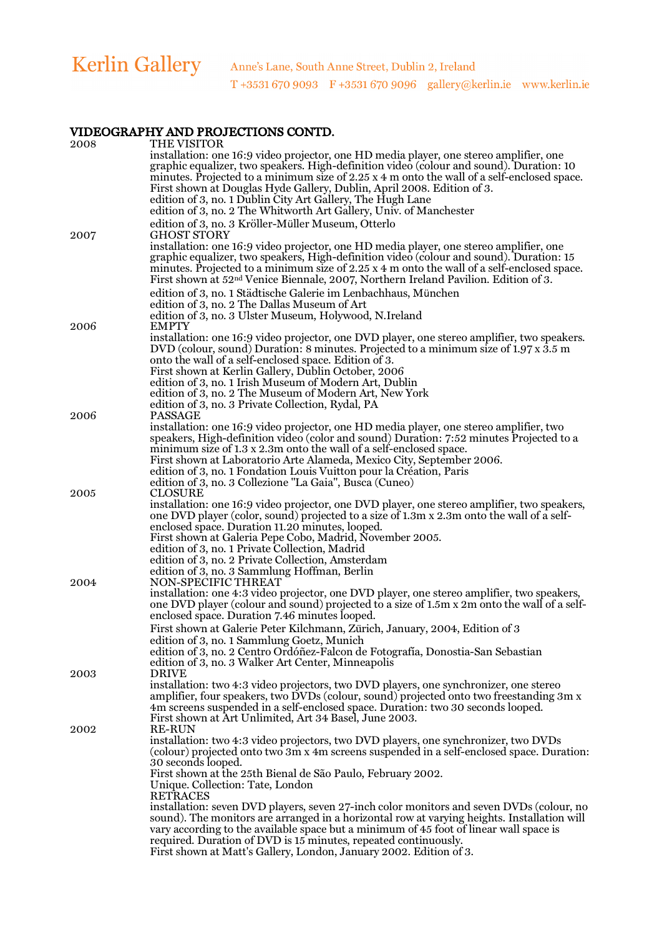| 2008 | THE VISITOR<br>installation: one 16:9 video projector, one HD media player, one stereo amplifier, one<br>graphic equalizer, two speakers. High-definition video (colour and sound). Duration: 10<br>minutes. Projected to a minimum size of $2.25 \times 4$ m onto the wall of a self-enclosed space.<br>First shown at Douglas Hyde Gallery, Dublin, April 2008. Edition of 3.                                 |
|------|-----------------------------------------------------------------------------------------------------------------------------------------------------------------------------------------------------------------------------------------------------------------------------------------------------------------------------------------------------------------------------------------------------------------|
|      | edition of 3, no. 1 Dublin City Art Gallery, The Hugh Lane<br>edition of 3, no. 2 The Whitworth Art Gallery, Univ. of Manchester                                                                                                                                                                                                                                                                                |
|      | edition of 3, no. 3 Kröller-Müller Museum, Otterlo                                                                                                                                                                                                                                                                                                                                                              |
| 2007 | <b>GHOST STORY</b><br>installation: one 16:9 video projector, one HD media player, one stereo amplifier, one<br>graphic equalizer, two speakers, High-definition video (colour and sound). Duration: 15<br>minutes. Projected to a minimum size of $2.25 \times 4$ m onto the wall of a self-enclosed space.<br>First shown at 52 <sup>nd</sup> Venice Biennale, 2007, Northern Ireland Pavilion. Edition of 3. |
|      | edition of 3, no. 1 Städtische Galerie im Lenbachhaus, München                                                                                                                                                                                                                                                                                                                                                  |
|      | edition of 3, no. 2 The Dallas Museum of Art<br>edition of 3, no. 3 Ulster Museum, Holywood, N.Ireland                                                                                                                                                                                                                                                                                                          |
| 2006 | <b>EMPTY</b>                                                                                                                                                                                                                                                                                                                                                                                                    |
|      | installation: one 16:9 video projector, one DVD player, one stereo amplifier, two speakers.<br>DVD (colour, sound) Duration: 8 minutes. Projected to a minimum size of 1.97 x $3.5$ m<br>onto the wall of a self-enclosed space. Edition of 3.                                                                                                                                                                  |
|      | First shown at Kerlin Gallery, Dublin October, 2006<br>edition of 3, no. 1 Irish Museum of Modern Art, Dublin                                                                                                                                                                                                                                                                                                   |
|      | edition of 3, no. 2 The Museum of Modern Art, New York                                                                                                                                                                                                                                                                                                                                                          |
| 2006 | edition of 3, no. 3 Private Collection, Rydal, PA<br>PASSAGE                                                                                                                                                                                                                                                                                                                                                    |
|      | installation: one 16:9 video projector, one HD media player, one stereo amplifier, two<br>speakers, High-definition video (color and sound) Duration: 7:52 minutes Projected to a<br>minimum size of 1.3 x 2.3m onto the wall of a self-enclosed space.                                                                                                                                                         |
|      | First shown at Laboratorio Arte Alameda, Mexico City, September 2006.                                                                                                                                                                                                                                                                                                                                           |
|      | edition of 3, no. 1 Fondation Louis Vuitton pour la Création, Paris                                                                                                                                                                                                                                                                                                                                             |
| 2005 | edition of 3, no. 3 Collezione "La Gaia", Busca (Cuneo)<br>CLOSURE                                                                                                                                                                                                                                                                                                                                              |
|      | installation: one 16:9 video projector, one DVD player, one stereo amplifier, two speakers,<br>one DVD player (color, sound) projected to a size of 1.3m x 2.3m onto the wall of a self-<br>enclosed space. Duration 11.20 minutes, looped.                                                                                                                                                                     |
|      | First shown at Galeria Pepe Cobo, Madrid, November 2005.                                                                                                                                                                                                                                                                                                                                                        |
|      | edition of 3, no. 1 Private Collection, Madrid<br>edition of 3, no. 2 Private Collection, Amsterdam                                                                                                                                                                                                                                                                                                             |
|      | edition of 3, no. 3 Sammlung Hoffman, Berlin                                                                                                                                                                                                                                                                                                                                                                    |
| 2004 | NON-SPECIFIC THREAT<br>installation: one 4:3 video projector, one DVD player, one stereo amplifier, two speakers,<br>one DVD player (colour and sound) projected to a size of 1.5m x 2m onto the wall of a self-                                                                                                                                                                                                |
|      | enclosed space. Duration 7.46 minutes looped.                                                                                                                                                                                                                                                                                                                                                                   |
|      | First shown at Galerie Peter Kilchmann, Zürich, January, 2004, Edition of 3<br>edition of 3, no. 1 Sammlung Goetz, Munich                                                                                                                                                                                                                                                                                       |
|      | edition of 3, no. 2 Centro Ordóñez-Falcon de Fotografía, Donostia-San Sebastian                                                                                                                                                                                                                                                                                                                                 |
| 2003 | edition of 3, no. 3 Walker Art Center, Minneapolis<br><b>DRIVE</b>                                                                                                                                                                                                                                                                                                                                              |
|      | installation: two 4:3 video projectors, two DVD players, one synchronizer, one stereo<br>amplifier, four speakers, two DVDs (colour, sound) projected onto two freestanding 3m x<br>4m screens suspended in a self-enclosed space. Duration: two 30 seconds looped.                                                                                                                                             |
| 2002 | First shown at Art Unlimited, Art 34 Basel, June 2003.<br><b>RE-RUN</b>                                                                                                                                                                                                                                                                                                                                         |
|      | installation: two 4:3 video projectors, two DVD players, one synchronizer, two DVDs<br>(colour) projected onto two 3m x 4m screens suspended in a self-enclosed space. Duration:<br>30 seconds looped.                                                                                                                                                                                                          |
|      | First shown at the 25th Bienal de São Paulo, February 2002.                                                                                                                                                                                                                                                                                                                                                     |
|      | Unique. Collection: Tate, London<br><b>RETRACES</b>                                                                                                                                                                                                                                                                                                                                                             |
|      | installation: seven DVD players, seven 27-inch color monitors and seven DVDs (colour, no<br>sound). The monitors are arranged in a horizontal row at varying heights. Installation will                                                                                                                                                                                                                         |
|      | vary according to the available space but a minimum of 45 foot of linear wall space is                                                                                                                                                                                                                                                                                                                          |
|      | required. Duration of DVD is 15 minutes, repeated continuously.<br>First shown at Matt's Gallery, London, January 2002. Edition of 3.                                                                                                                                                                                                                                                                           |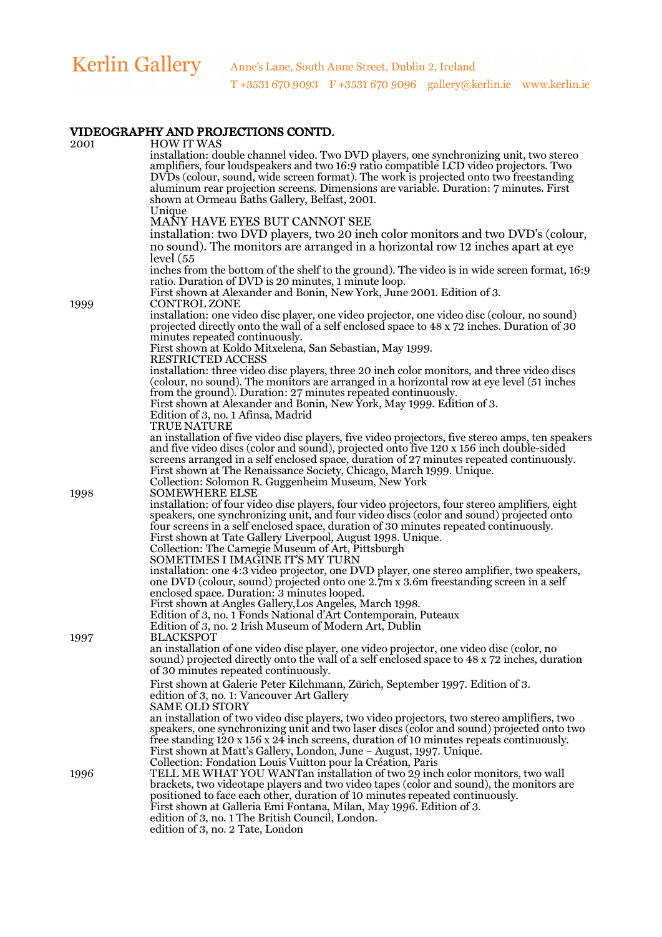| 2001 | <b>HOW IT WAS</b>                                                                                                                                                                                                            |
|------|------------------------------------------------------------------------------------------------------------------------------------------------------------------------------------------------------------------------------|
|      | installation: double channel video. Two DVD players, one synchronizing unit, two stereo<br>amplifiers, four loudspeakers and two 16:9 ratio compatible LCD video projectors. Two                                             |
|      | DVDs (colour, sound, wide screen format). The work is projected onto two freestanding<br>aluminum rear projection screens. Dimensions are variable. Duration: 7 minutes. First                                               |
|      | shown at Ormeau Baths Gallery, Belfast, 2001.<br>Unique                                                                                                                                                                      |
|      | MANY HAVE EYES BUT CANNOT SEE                                                                                                                                                                                                |
|      | installation: two DVD players, two 20 inch color monitors and two DVD's (colour,                                                                                                                                             |
|      | no sound). The monitors are arranged in a horizontal row 12 inches apart at eye                                                                                                                                              |
|      | level (55<br>inches from the bottom of the shelf to the ground). The video is in wide screen format, 16:9                                                                                                                    |
|      | ratio. Duration of DVD is 20 minutes, 1 minute loop.                                                                                                                                                                         |
| 1999 | First shown at Alexander and Bonin, New York, June 2001. Edition of 3.<br><b>CONTROL ZONE</b>                                                                                                                                |
|      | installation: one video disc player, one video projector, one video disc (colour, no sound)<br>projected directly onto the wall of a self enclosed space to 48 x 72 inches. Duration of 30<br>minutes repeated continuously. |
|      | First shown at Koldo Mitxelena, San Sebastian, May 1999.                                                                                                                                                                     |
|      | <b>RESTRICTED ACCESS</b>                                                                                                                                                                                                     |
|      | installation: three video disc players, three 20 inch color monitors, and three video discs<br>(colour, no sound). The monitors are arranged in a horizontal row at eye level (51 inches                                     |
|      | from the ground). Duration: 27 minutes repeated continuously.                                                                                                                                                                |
|      | First shown at Alexander and Bonin, New York, May 1999. Edition of 3.<br>Edition of 3, no. 1 Afinsa, Madrid                                                                                                                  |
|      | <b>TRUE NATURE</b>                                                                                                                                                                                                           |
|      | an installation of five video disc players, five video projectors, five stereo amps, ten speakers<br>and five video discs (color and sound), projected onto five 120 x 156 inch double-sided                                 |
|      | screens arranged in a self enclosed space, duration of 27 minutes repeated continuously.                                                                                                                                     |
|      | First shown at The Renaissance Society, Chicago, March 1999. Unique.<br>Collection: Solomon R. Guggenheim Museum, New York                                                                                                   |
| 1998 | <b>SOMEWHERE ELSE</b>                                                                                                                                                                                                        |
|      | installation: of four video disc players, four video projectors, four stereo amplifiers, eight<br>speakers, one synchronizing unit, and four video discs (color and sound) projected onto                                    |
|      | four screens in a self enclosed space, duration of 30 minutes repeated continuously.                                                                                                                                         |
|      | First shown at Tate Gallery Liverpool, August 1998. Unique.                                                                                                                                                                  |
|      | Collection: The Carnegie Museum of Art, Pittsburgh<br>SOMETIMES I IMAGINE IT'S MY TURN                                                                                                                                       |
|      | installation: one 4:3 video projector, one DVD player, one stereo amplifier, two speakers,                                                                                                                                   |
|      | one DVD (colour, sound) projected onto one 2.7m x 3.6m freestanding screen in a self<br>enclosed space. Duration: 3 minutes looped.                                                                                          |
|      | First shown at Angles Gallery, Los Angeles, March 1998.                                                                                                                                                                      |
|      | Edition of 3, no. 1 Fonds National d'Art Contemporain, Puteaux<br>Edition of 3, no. 2 Irish Museum of Modern Art, Dublin                                                                                                     |
| 1997 | <b>BLACKSPOT</b>                                                                                                                                                                                                             |
|      | an installation of one video disc player, one video projector, one video disc (color, no<br>sound) projected directly onto the wall of a self enclosed space to 48 x 72 inches, duration                                     |
|      | of 30 minutes repeated continuously.                                                                                                                                                                                         |
|      | First shown at Galerie Peter Kilchmann, Zürich, September 1997. Edition of 3.                                                                                                                                                |
|      | edition of 3, no. 1: Vancouver Art Gallery<br><b>SAME OLD STORY</b>                                                                                                                                                          |
|      | an installation of two video disc players, two video projectors, two stereo amplifiers, two                                                                                                                                  |
|      | speakers, one synchronizing unit and two laser discs (color and sound) projected onto two<br>free standing $120 \times 156 \times 24$ inch screens, duration of 10 minutes repeats continuously.                             |
|      | First shown at Matt's Gallery, London, June - August, 1997. Unique.                                                                                                                                                          |
| 1996 | Collection: Fondation Louis Vuitton pour la Création, Paris<br>TELL ME WHAT YOU WANTan installation of two 29 inch color monitors, two wall                                                                                  |
|      | brackets, two videotape players and two video tapes (color and sound), the monitors are                                                                                                                                      |
|      | positioned to face each other, duration of 10 minutes repeated continuously.<br>First shown at Galleria Emi Fontana, Milan, May 1996. Edition of 3.                                                                          |
|      | edition of 3, no. 1 The British Council, London.                                                                                                                                                                             |
|      | edition of 3, no. 2 Tate, London                                                                                                                                                                                             |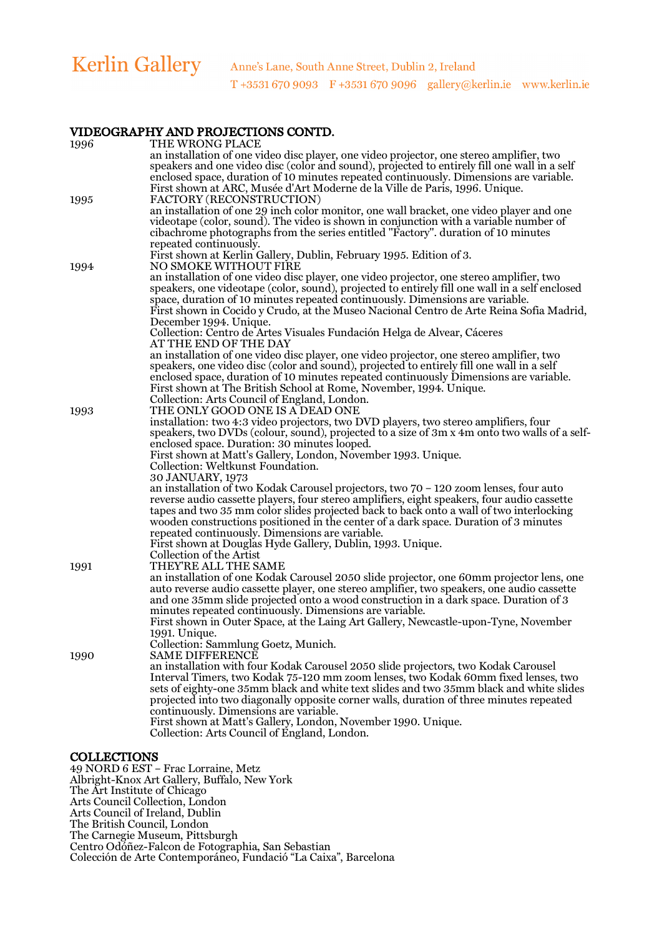| 1996 | THE WRONG PLACE                                                                                                                                                                          |
|------|------------------------------------------------------------------------------------------------------------------------------------------------------------------------------------------|
|      | an installation of one video disc player, one video projector, one stereo amplifier, two<br>speakers and one video disc (color and sound), projected to entirely fill one wall in a self |
|      | enclosed space, duration of 10 minutes repeated continuously. Dimensions are variable.                                                                                                   |
|      | First shown at ARC, Musée d'Art Moderne de la Ville de Paris, 1996. Unique.                                                                                                              |
| 1995 | FACTORY (RECONSTRUCTION)                                                                                                                                                                 |
|      | an installation of one 29 inch color monitor, one wall bracket, one video player and one                                                                                                 |
|      | videotape (color, sound). The video is shown in conjunction with a variable number of                                                                                                    |
|      | cibachrome photographs from the series entitled "Factory". duration of 10 minutes                                                                                                        |
|      | repeated continuously.                                                                                                                                                                   |
|      | First shown at Kerlin Gallery, Dublin, February 1995. Edition of 3.                                                                                                                      |
| 1994 | NO SMOKE WITHOUT FIRE                                                                                                                                                                    |
|      | an installation of one video disc player, one video projector, one stereo amplifier, two                                                                                                 |
|      | speakers, one videotape (color, sound), projected to entirely fill one wall in a self enclosed                                                                                           |
|      | space, duration of 10 minutes repeated continuously. Dimensions are variable.<br>First shown in Cocido y Crudo, at the Museo Nacional Centro de Arte Reina Sofia Madrid,                 |
|      | December 1994. Unique.                                                                                                                                                                   |
|      | Collection: Centro de Artes Visuales Fundación Helga de Alvear, Cáceres                                                                                                                  |
|      | AT THE END OF THE DAY                                                                                                                                                                    |
|      | an installation of one video disc player, one video projector, one stereo amplifier, two                                                                                                 |
|      | speakers, one video disc (color and sound), projected to entirely fill one wall in a self                                                                                                |
|      | enclosed space, duration of 10 minutes repeated continuously Dimensions are variable.                                                                                                    |
|      | First shown at The British School at Rome, November, 1994. Unique.                                                                                                                       |
|      | Collection: Arts Council of England, London.                                                                                                                                             |
| 1993 | THE ONLY GOOD ONE IS A DEAD ONE                                                                                                                                                          |
|      | installation: two 4:3 video projectors, two DVD players, two stereo amplifiers, four                                                                                                     |
|      | speakers, two DVDs (colour, sound), projected to a size of 3m x 4m onto two walls of a self-                                                                                             |
|      | enclosed space. Duration: 30 minutes looped.<br>First shown at Matt's Gallery, London, November 1993. Unique.                                                                            |
|      | Collection: Weltkunst Foundation.                                                                                                                                                        |
|      | 30 JANUARY, 1973                                                                                                                                                                         |
|      | an installation of two Kodak Carousel projectors, two 70 - 120 zoom lenses, four auto                                                                                                    |
|      | reverse audio cassette players, four stereo amplifiers, eight speakers, four audio cassette                                                                                              |
|      | tapes and two 35 mm color slides projected back to back onto a wall of two interlocking                                                                                                  |
|      | wooden constructions positioned in the center of a dark space. Duration of 3 minutes                                                                                                     |
|      | repeated continuously. Dimensions are variable.                                                                                                                                          |
|      | First shown at Douglas Hyde Gallery, Dublin, 1993. Unique.                                                                                                                               |
|      | Collection of the Artist                                                                                                                                                                 |
| 1991 | THEY'RE ALL THE SAME                                                                                                                                                                     |
|      | an installation of one Kodak Carousel 2050 slide projector, one 60mm projector lens, one                                                                                                 |
|      | auto reverse audio cassette player, one stereo amplifier, two speakers, one audio cassette<br>and one 35mm slide projected onto a wood construction in a dark space. Duration of 3       |
|      | minutes repeated continuously. Dimensions are variable.                                                                                                                                  |
|      | First shown in Outer Space, at the Laing Art Gallery, Newcastle-upon-Tyne, November                                                                                                      |
|      | 1991. Unique.                                                                                                                                                                            |
|      | Collection: Sammlung Goetz, Munich.                                                                                                                                                      |
| 1990 | <b>SAME DIFFERENCE</b>                                                                                                                                                                   |
|      | an installation with four Kodak Carousel 2050 slide projectors, two Kodak Carousel                                                                                                       |
|      | Interval Timers, two Kodak 75-120 mm zoom lenses, two Kodak 60mm fixed lenses, two                                                                                                       |
|      | sets of eighty-one 35mm black and white text slides and two 35mm black and white slides                                                                                                  |
|      | projected into two diagonally opposite corner walls, duration of three minutes repeated                                                                                                  |
|      | continuously. Dimensions are variable.                                                                                                                                                   |
|      | First shown at Matt's Gallery, London, November 1990. Unique.<br>Collection: Arts Council of England, London.                                                                            |
|      |                                                                                                                                                                                          |

#### **COLLECTIONS**

**COLLECTIONS**<br>49 NORD 6 EST – Frac Lorraine, Metz Albright-Knox Art Gallery, Buffalo, New York The Art Institute of Chicago Arts Council Collection, London Arts Council of Ireland, Dublin The British Council, London The Carnegie Museum, Pittsburgh Centro Odóñez-Falcon de Fotographia, San Sebastian Colección de Arte Contemporáneo, Fundació "La Caixa", Barcelona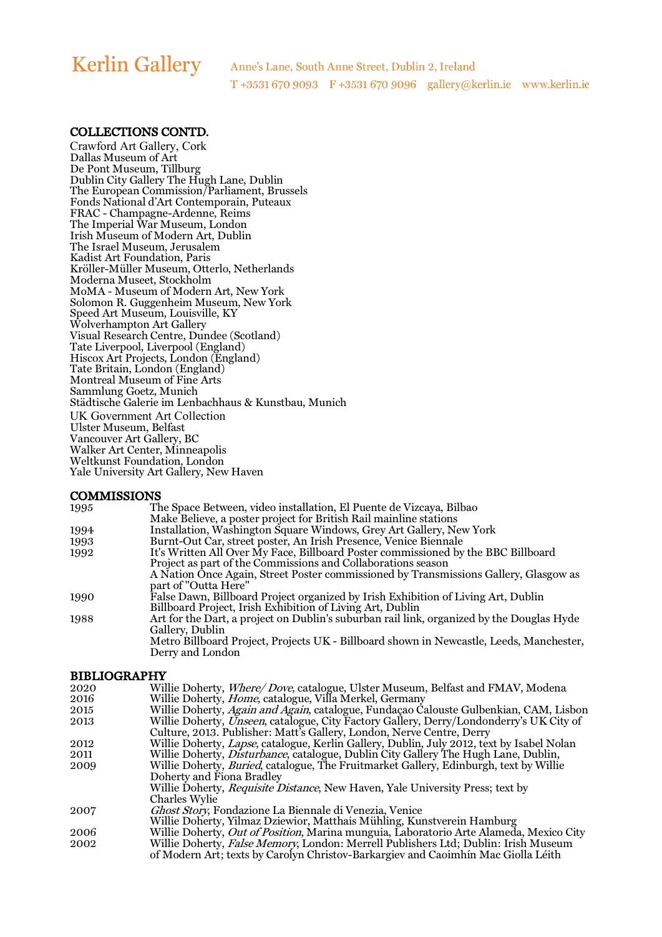# **Kerlin Gallery**

### COLLECTIONS CONTD.

Crawford Art Gallery, Cork Dallas Museum of Art De Pont Museum, Tillburg Dublin City Gallery The Hugh Lane, Dublin The European Commission/Parliament, Brussels Fonds National d'Art Contemporain, Puteaux FRAC - Champagne-Ardenne, Reims The Imperial War Museum, London Irish Museum of Modern Art, Dublin The Israel Museum, Jerusalem Kadist Art Foundation, Paris Kröller-Müller Museum, Otterlo, Netherlands Moderna Museet, Stockholm MoMA - Museum of Modern Art, New York Solomon R. Guggenheim Museum, New York Speed Art Museum, Louisville, KY Wolverhampton Art Gallery Visual Research Centre, Dundee (Scotland) Tate Liverpool, Liverpool (England) Hiscox Art Projects, London (England) Tate Britain, London (England) Montreal Museum of Fine Arts Sammlung Goetz, Munich Städtische Galerie im Lenbachhaus & Kunstbau, Munich UK Government Art Collection Ulster Museum, Belfast Vancouver Art Gallery, BC Walker Art Center, Minneapolis Weltkunst Foundation, London Yale University Art Gallery, New Haven

| <b>COMMISSIONS</b> |                                                                                           |
|--------------------|-------------------------------------------------------------------------------------------|
| 1995               | The Space Between, video installation, El Puente de Vizcaya, Bilbao                       |
|                    | Make Believe, a poster project for British Rail mainline stations                         |
| 1994               | Installation, Washington Square Windows, Grey Art Gallery, New York                       |
| 1993               | Burnt-Out Car, street poster, An Irish Presence, Venice Biennale                          |
| 1992               | It's Written All Over My Face, Billboard Poster commissioned by the BBC Billboard         |
|                    | Project as part of the Commissions and Collaborations season                              |
|                    | A Nation Once Again, Street Poster commissioned by Transmissions Gallery, Glasgow as      |
|                    | part of "Outta Here"                                                                      |
| 1990               | False Dawn, Billboard Project organized by Irish Exhibition of Living Art, Dublin         |
|                    | Billboard Project, Irish Exhibition of Living Art, Dublin                                 |
| 1988               | Art for the Dart, a project on Dublin's suburban rail link, organized by the Douglas Hyde |
|                    | Gallery, Dublin                                                                           |
|                    | Metro Billboard Project, Projects UK - Billboard shown in Newcastle, Leeds, Manchester,   |
|                    | Derry and London                                                                          |

| <b>BIBLIOGRAPHY</b> |                                                                                            |  |
|---------------------|--------------------------------------------------------------------------------------------|--|
| 2020                | Willie Doherty, <i>Where/Dove</i> , catalogue, Ulster Museum, Belfast and FMAV, Modena     |  |
| 2016                | Willie Doherty, <i>Home</i> , catalogue, Villa Merkel, Germany                             |  |
| 2015                | Willie Doherty, Again and Again, catalogue, Fundaçao Calouste Gulbenkian, CAM, Lisbon      |  |
| 2013                | Willie Doherty, Unseen, catalogue, City Factory Gallery, Derry/Londonderry's UK City of    |  |
|                     | Culture, 2013. Publisher: Matt's Gallery, London, Nerve Centre, Derry                      |  |
| 2012                | Willie Doherty, Lapse, catalogue, Kerlin Gallery, Dublin, July 2012, text by Isabel Nolan  |  |
| 2011                | Willie Doherty, <i>Disturbance</i> , catalogue, Dublin City Gallery The Hugh Lane, Dublin, |  |
| 2009                | Willie Doherty, Buried, catalogue, The Fruitmarket Gallery, Edinburgh, text by Willie      |  |
|                     | Doherty and Fiona Bradley                                                                  |  |
|                     | Willie Doherty, <i>Requisite Distance</i> , New Haven, Yale University Press; text by      |  |
|                     | Charles Wylie                                                                              |  |
| 2007                | <i>Ghost Story</i> , Fondazione La Biennale di Venezia, Venice                             |  |
|                     | Willie Doherty, Yilmaz Dziewior, Matthais Mühling, Kunstverein Hamburg                     |  |
| 2006                | Willie Doherty, Out of Position, Marina munguia, Laboratorio Arte Alameda, Mexico City     |  |
| 2002                | Willie Doherty, <i>False Memory</i> , London: Merrell Publishers Ltd; Dublin: Irish Museum |  |
|                     | of Modern Art; texts by Carolyn Christov-Barkargiev and Caoimhín Mac Giolla Léith          |  |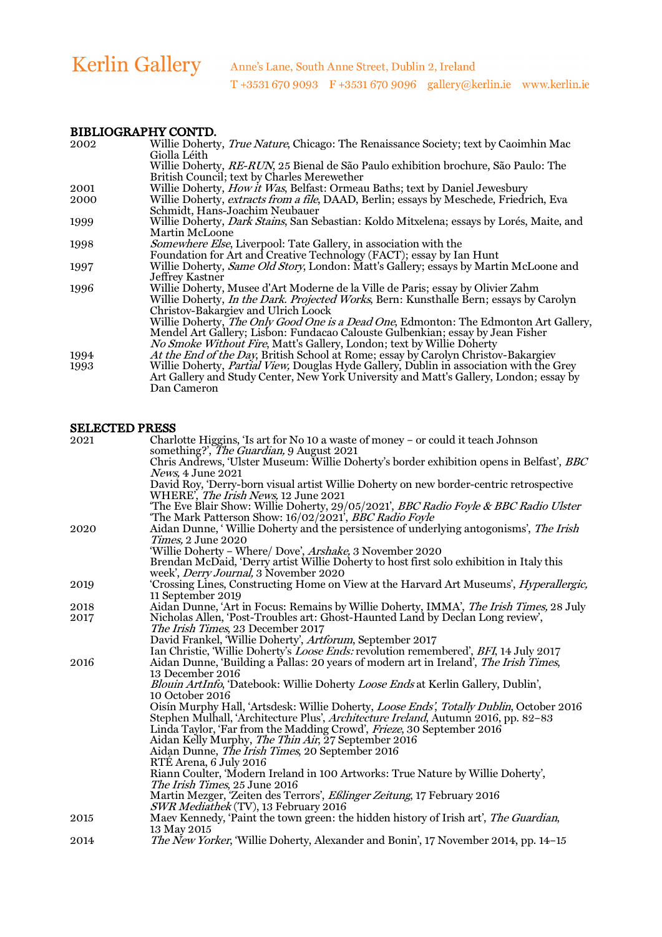### BIBLIOGRAPHY CONTD.

| 2002 | Willie Doherty, True Nature, Chicago: The Renaissance Society; text by Caoimhin Mac              |
|------|--------------------------------------------------------------------------------------------------|
|      | Giolla Léith                                                                                     |
|      | Willie Doherty, RE-RUN, 25 Bienal de São Paulo exhibition brochure, São Paulo: The               |
|      | British Council; text by Charles Merewether                                                      |
| 2001 | Willie Doherty, <i>How it Was</i> , Belfast: Ormeau Baths; text by Daniel Jewesbury              |
| 2000 | Willie Doherty, extracts from a file, DAAD, Berlin; essays by Meschede, Friedrich, Eva           |
|      | Schmidt, Hans-Joachim Neubauer                                                                   |
| 1999 | Willie Doherty, <i>Dark Stains</i> , San Sebastian: Koldo Mitxelena; essays by Lorés, Maite, and |
|      | <b>Martin McLoone</b>                                                                            |
| 1998 | <i>Somewhere Else</i> , Liverpool: Tate Gallery, in association with the                         |
|      | Foundation for Art and Creative Technology (FACT); essay by Ian Hunt                             |
| 1997 | Willie Doherty, Same Old Story, London: Matt's Gallery; essays by Martin McLoone and             |
|      | Jeffrey Kastner                                                                                  |
| 1996 | Willie Doherty, Musee d'Art Moderne de la Ville de Paris; essay by Olivier Zahm                  |
|      | Willie Doherty, <i>In the Dark. Projected Works</i> , Bern: Kunsthalle Bern; essays by Carolyn   |
|      | Christov-Bakargiev and Ulrich Loock                                                              |
|      | Willie Doherty, <i>The Only Good One is a Dead One</i> , Edmonton: The Edmonton Art Gallery,     |
|      | Mendel Art Gallery; Lisbon: Fundacao Calouste Gulbenkian; essay by Jean Fisher                   |
|      | No Smoke Without Fire, Matt's Gallery, London; text by Willie Doherty                            |
| 1994 | At the End of the Day, British School at Rome; essay by Carolyn Christov-Bakargiev               |
| 1993 | Willie Doherty, <i>Partial View</i> , Douglas Hyde Gallery, Dublin in association with the Grey  |
|      | Art Gallery and Study Center, New York University and Matt's Gallery, London; essay by           |
|      | Dan Cameron                                                                                      |

|      | <b>SELECTED PRESS</b>                                                                             |
|------|---------------------------------------------------------------------------------------------------|
| 2021 | Charlotte Higgins, 'Is art for No 10 a waste of money - or could it teach Johnson                 |
|      | something?', The Guardian, 9 August 2021                                                          |
|      | Chris Andrews, 'Ulster Museum: Willie Doherty's border exhibition opens in Belfast', <i>BBC</i>   |
|      | <i>News</i> , 4 June 2021                                                                         |
|      | David Roy, 'Derry-born visual artist Willie Doherty on new border-centric retrospective           |
|      | WHERE', The Irish News, 12 June 2021                                                              |
|      | 'The Eve Blair Show: Willie Doherty, 29/05/2021', BBC Radio Foyle & BBC Radio Ulster              |
|      | The Mark Patterson Show: 16/02/2021 <sup>'</sup> , <i>BBC Radio Foyle</i>                         |
| 2020 | Aidan Dunne, 'Willie Doherty and the persistence of underlying antogonisms', The Irish            |
|      | <i>Times.</i> 2 June 2020                                                                         |
|      | 'Willie Doherty - Where/ Dove', Arshake, 3 November 2020                                          |
|      | Brendan McDaid, 'Derry artist Willie Doherty to host first solo exhibition in Italy this          |
|      | week', <i>Derry Journal</i> , 3 November 2020                                                     |
| 2019 | Crossing Lines, Constructing Home on View at the Harvard Art Museums', <i>Hyperallergic</i> ,     |
|      | 11 September 2019                                                                                 |
| 2018 | Aidan Dunne, 'Art in Focus: Remains by Willie Doherty, IMMA', The Irish Times, 28 July            |
| 2017 | Nicholas Allen, 'Post-Troubles art: Ghost-Haunted Land by Declan Long review',                    |
|      | The Irish Times, 23 December 2017                                                                 |
|      | David Frankel, 'Willie Doherty', Artforum, September 2017                                         |
|      | Ian Christie, Willie Doherty's <i>Loose Ends:</i> revolution remembered', BFI, 14 July 2017       |
| 2016 | Aidan Dunne, 'Building a Pallas: 20 years of modern art in Ireland', <i>The Irish Times</i> ,     |
|      | 13 December 2016                                                                                  |
|      | Blouin ArtInfo, 'Datebook: Willie Doherty Loose Ends at Kerlin Gallery, Dublin',                  |
|      | 10 October 2016                                                                                   |
|      | Oisín Murphy Hall, 'Artsdesk: Willie Doherty, Loose Ends', Totally Dublin, October 2016           |
|      | Stephen Mulhall, 'Architecture Plus', Architecture Ireland, Autumn 2016, pp. 82-83                |
|      | Linda Taylor, 'Far from the Madding Crowd', Frieze, 30 September 2016                             |
|      | Aidan Kelly Murphy, <i>The Thin Air</i> , 27 September 2016                                       |
|      | Aidan Dunne, <i>The Irish Times</i> , 20 September 2016                                           |
|      | RTÉ Arena, 6 July 2016                                                                            |
|      | Riann Coulter, 'Modern Ireland in 100 Artworks: True Nature by Willie Doherty',                   |
|      | The Irish Times, 25 June 2016                                                                     |
|      | Martin Mezger, 'Zeiten des Terrors', Eßlinger Zeitung, 17 February 2016                           |
|      | SWR Mediathek (TV), 13 February 2016                                                              |
| 2015 | Maev Kennedy, 'Paint the town green: the hidden history of Irish art', The Guardian,              |
| 2014 | 13 May 2015<br>The New Yorker, 'Willie Doherty, Alexander and Bonin', 17 November 2014, pp. 14-15 |
|      |                                                                                                   |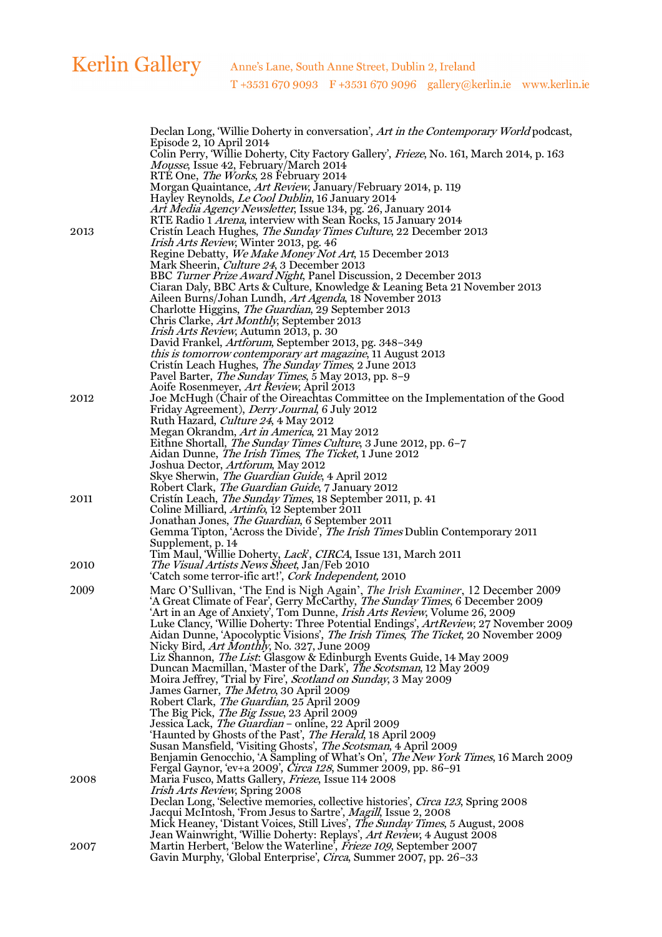| Colin Perry, 'Willie Doherty, City Factory Gallery', Frieze, No. 161, March 2014, p. 163<br><i>Mousse</i> , Issue 42, February/March 2014<br>RTÉ One, <i>The Works</i> , 28 February 2014<br>Morgan Quaintance, <i>Art Review</i> , January/February 2014, p. 119<br>Hayley Reynolds, <i>Le Cool Dublin</i> , 16 January 2014<br>Art Media Agency Newsletter, Issue 134, pg. 26, January 2014<br>RTE Radio 1 <i>Arena</i> , interview with Sean Rocks, 15 January 2014<br>Cristín Leach Hughes, <i>The Sunday Times Culture</i> , 22 December 2013<br><i>Irish Arts Review</i> , Winter 2013, pg. 46<br>Regine Debatty, We Make Money Not Art, 15 December 2013<br>Mark Sheerin, <i>Culture 24</i> , 3 December 2013<br>BBC Turner Prize Award Night, Panel Discussion, 2 December 2013<br>Ciaran Daly, BBC Arts & Culture, Knowledge & Leaning Beta 21 November 2013<br>Aileen Burns/Johan Lundh, <i>Art Agenda</i> , 18 November 2013<br>Charlotte Higgins, <i>The Guardian</i> , 29 September 2013<br>Chris Clarke, Art Monthly, September 2013<br><i>Irish Arts Review, Autumn 2013, p. 30</i><br>David Frankel, <i>Artforum</i> , September 2013, pg. 348–349<br><i>this is tomorrow contemporary art magazine</i> , 11 August 2013<br>Cristín Leach Hughes, <i>The Sunday Times</i> , 2 June 2013<br>Pavel Barter, The Sunday Times, 5 May 2013, pp. 8-9<br>Aoife Rosenmeyer, <i>Art Review</i> , April 2013<br>Joe McHugh (Chair of the Oireachtas Committee on the Implementation of the Good<br>Friday Agreement), <i>Derry Journal</i> , 6 July 2012<br>Ruth Hazard, <i>Culture 24</i> , 4 May 2012<br>Megan Okrandm, Art in America, 21 May 2012<br>Eithne Shortall, <i>The Sunday Times Culture</i> , 3 June 2012, pp. 6-7<br>Aidan Dunne, The Irish Times, The Ticket, 1 June 2012<br>Joshua Dector, <i>Artforum</i> , May 2012<br>Skye Sherwin, <i>The Guardian Guide</i> , 4 April 2012<br>Robert Clark, The Guardian Guide, 7 January 2012<br>Cristín Leach, <i>The Sunday Times</i> , 18 September 2011, p. 41<br>Coline Milliard, <i>Artinfo</i> , 12 September 2011<br>Jonathan Jones, <i>The Guardian</i> , 6 September 2011<br>Gemma Tipton, 'Across the Divide', The Irish Times Dublin Contemporary 2011<br>Supplement, p. 14<br>Tim Maul, 'Willie Doherty, <i>Lack</i> ', CIRCA, Issue 131, March 2011<br><i>The Visual Artists News Sheet, Jan/Feb 2010</i><br>2010<br>'Catch some terror-ific art!', Cork Independent, 2010<br>2009<br>Marc O'Sullivan, 'The End is Nigh Again', <i>The Irish Examiner</i> , 12 December 2009<br>'A Great Climate of Fear', Gerry McCarthy, The Sunday Times, 6 December 2009<br>'Art in an Age of Anxiety', Tom Dunne, Irish Arts Review, Volume 26, 2009<br>Luke Clancy, 'Willie Doherty: Three Potential Endings', ArtReview, 27 November 2009<br>Aidan Dunne, 'Apocolyptic Visions', The Irish Times, The Ticket, 20 November 2009<br>Nicky Bird, <i>Art Monthly</i> , No. 327, June 2009<br>Liz Shannon, The List: Glasgow & Edinburgh Events Guide, 14 May 2009<br>Duncan Macmillan, 'Master of the Dark', The Scotsman, 12 May 2009<br>Moira Jeffrey, 'Trial by Fire', Scotland on Sunday, 3 May 2009<br>James Garner, The Metro, 30 April 2009<br>Robert Clark, <i>The Guardian</i> , 25 April 2009<br>The Big Pick, <i>The Big Issue</i> , 23 April 2009<br>Jessica Lack, The Guardian - online, 22 April 2009<br>'Haunted by Ghosts of the Past', The Herald, 18 April 2009<br>Susan Mansfield, Visiting Ghosts', The Scotsman, 4 April 2009<br>Benjamin Genocchio, 'A Sampling of What's On', The New York Times, 16 March 2009<br>Fergal Gaynor, 'ev+a 2009', <i>Circa 128</i> , Summer 2009, pp. 86-91<br>Maria Fusco, Matts Gallery, Frieze, Issue 114 2008<br><i>Irish Arts Review</i> , Spring 2008<br>Declan Long, 'Selective memories, collective histories', Circa 123, Spring 2008<br>Jacqui McIntosh, 'From Jesus to Sartre', Magill, Issue 2, 2008<br>Mick Heaney, 'Distant Voices, Still Lives', The Sunday Times, 5 August, 2008<br>Jean Wainwright, 'Willie Doherty: Replays', Art Review, 4 August 2008<br>Martin Herbert, 'Below the Waterline', Frieze 109, September 2007<br>2007<br>Gavin Murphy, 'Global Enterprise', Circa, Summer 2007, pp. 26-33 |      | Declan Long, Willie Doherty in conversation', Art in the Contemporary World podcast, |
|----------------------------------------------------------------------------------------------------------------------------------------------------------------------------------------------------------------------------------------------------------------------------------------------------------------------------------------------------------------------------------------------------------------------------------------------------------------------------------------------------------------------------------------------------------------------------------------------------------------------------------------------------------------------------------------------------------------------------------------------------------------------------------------------------------------------------------------------------------------------------------------------------------------------------------------------------------------------------------------------------------------------------------------------------------------------------------------------------------------------------------------------------------------------------------------------------------------------------------------------------------------------------------------------------------------------------------------------------------------------------------------------------------------------------------------------------------------------------------------------------------------------------------------------------------------------------------------------------------------------------------------------------------------------------------------------------------------------------------------------------------------------------------------------------------------------------------------------------------------------------------------------------------------------------------------------------------------------------------------------------------------------------------------------------------------------------------------------------------------------------------------------------------------------------------------------------------------------------------------------------------------------------------------------------------------------------------------------------------------------------------------------------------------------------------------------------------------------------------------------------------------------------------------------------------------------------------------------------------------------------------------------------------------------------------------------------------------------------------------------------------------------------------------------------------------------------------------------------------------------------------------------------------------------------------------------------------------------------------------------------------------------------------------------------------------------------------------------------------------------------------------------------------------------------------------------------------------------------------------------------------------------------------------------------------------------------------------------------------------------------------------------------------------------------------------------------------------------------------------------------------------------------------------------------------------------------------------------------------------------------------------------------------------------------------------------------------------------------------------------------------------------------------------------------------------------------------------------------------------------------------------------------------------------------------------------------------------------------------------------------------------------------------------------------------------------------------------------------------------------------------------------------------------------------------------------------------------------------------------------|------|--------------------------------------------------------------------------------------|
|                                                                                                                                                                                                                                                                                                                                                                                                                                                                                                                                                                                                                                                                                                                                                                                                                                                                                                                                                                                                                                                                                                                                                                                                                                                                                                                                                                                                                                                                                                                                                                                                                                                                                                                                                                                                                                                                                                                                                                                                                                                                                                                                                                                                                                                                                                                                                                                                                                                                                                                                                                                                                                                                                                                                                                                                                                                                                                                                                                                                                                                                                                                                                                                                                                                                                                                                                                                                                                                                                                                                                                                                                                                                                                                                                                                                                                                                                                                                                                                                                                                                                                                                                                                                                                              |      | Episode 2, 10 April 2014                                                             |
|                                                                                                                                                                                                                                                                                                                                                                                                                                                                                                                                                                                                                                                                                                                                                                                                                                                                                                                                                                                                                                                                                                                                                                                                                                                                                                                                                                                                                                                                                                                                                                                                                                                                                                                                                                                                                                                                                                                                                                                                                                                                                                                                                                                                                                                                                                                                                                                                                                                                                                                                                                                                                                                                                                                                                                                                                                                                                                                                                                                                                                                                                                                                                                                                                                                                                                                                                                                                                                                                                                                                                                                                                                                                                                                                                                                                                                                                                                                                                                                                                                                                                                                                                                                                                                              |      |                                                                                      |
|                                                                                                                                                                                                                                                                                                                                                                                                                                                                                                                                                                                                                                                                                                                                                                                                                                                                                                                                                                                                                                                                                                                                                                                                                                                                                                                                                                                                                                                                                                                                                                                                                                                                                                                                                                                                                                                                                                                                                                                                                                                                                                                                                                                                                                                                                                                                                                                                                                                                                                                                                                                                                                                                                                                                                                                                                                                                                                                                                                                                                                                                                                                                                                                                                                                                                                                                                                                                                                                                                                                                                                                                                                                                                                                                                                                                                                                                                                                                                                                                                                                                                                                                                                                                                                              |      |                                                                                      |
|                                                                                                                                                                                                                                                                                                                                                                                                                                                                                                                                                                                                                                                                                                                                                                                                                                                                                                                                                                                                                                                                                                                                                                                                                                                                                                                                                                                                                                                                                                                                                                                                                                                                                                                                                                                                                                                                                                                                                                                                                                                                                                                                                                                                                                                                                                                                                                                                                                                                                                                                                                                                                                                                                                                                                                                                                                                                                                                                                                                                                                                                                                                                                                                                                                                                                                                                                                                                                                                                                                                                                                                                                                                                                                                                                                                                                                                                                                                                                                                                                                                                                                                                                                                                                                              |      |                                                                                      |
|                                                                                                                                                                                                                                                                                                                                                                                                                                                                                                                                                                                                                                                                                                                                                                                                                                                                                                                                                                                                                                                                                                                                                                                                                                                                                                                                                                                                                                                                                                                                                                                                                                                                                                                                                                                                                                                                                                                                                                                                                                                                                                                                                                                                                                                                                                                                                                                                                                                                                                                                                                                                                                                                                                                                                                                                                                                                                                                                                                                                                                                                                                                                                                                                                                                                                                                                                                                                                                                                                                                                                                                                                                                                                                                                                                                                                                                                                                                                                                                                                                                                                                                                                                                                                                              |      |                                                                                      |
|                                                                                                                                                                                                                                                                                                                                                                                                                                                                                                                                                                                                                                                                                                                                                                                                                                                                                                                                                                                                                                                                                                                                                                                                                                                                                                                                                                                                                                                                                                                                                                                                                                                                                                                                                                                                                                                                                                                                                                                                                                                                                                                                                                                                                                                                                                                                                                                                                                                                                                                                                                                                                                                                                                                                                                                                                                                                                                                                                                                                                                                                                                                                                                                                                                                                                                                                                                                                                                                                                                                                                                                                                                                                                                                                                                                                                                                                                                                                                                                                                                                                                                                                                                                                                                              |      |                                                                                      |
|                                                                                                                                                                                                                                                                                                                                                                                                                                                                                                                                                                                                                                                                                                                                                                                                                                                                                                                                                                                                                                                                                                                                                                                                                                                                                                                                                                                                                                                                                                                                                                                                                                                                                                                                                                                                                                                                                                                                                                                                                                                                                                                                                                                                                                                                                                                                                                                                                                                                                                                                                                                                                                                                                                                                                                                                                                                                                                                                                                                                                                                                                                                                                                                                                                                                                                                                                                                                                                                                                                                                                                                                                                                                                                                                                                                                                                                                                                                                                                                                                                                                                                                                                                                                                                              | 2013 |                                                                                      |
|                                                                                                                                                                                                                                                                                                                                                                                                                                                                                                                                                                                                                                                                                                                                                                                                                                                                                                                                                                                                                                                                                                                                                                                                                                                                                                                                                                                                                                                                                                                                                                                                                                                                                                                                                                                                                                                                                                                                                                                                                                                                                                                                                                                                                                                                                                                                                                                                                                                                                                                                                                                                                                                                                                                                                                                                                                                                                                                                                                                                                                                                                                                                                                                                                                                                                                                                                                                                                                                                                                                                                                                                                                                                                                                                                                                                                                                                                                                                                                                                                                                                                                                                                                                                                                              |      |                                                                                      |
|                                                                                                                                                                                                                                                                                                                                                                                                                                                                                                                                                                                                                                                                                                                                                                                                                                                                                                                                                                                                                                                                                                                                                                                                                                                                                                                                                                                                                                                                                                                                                                                                                                                                                                                                                                                                                                                                                                                                                                                                                                                                                                                                                                                                                                                                                                                                                                                                                                                                                                                                                                                                                                                                                                                                                                                                                                                                                                                                                                                                                                                                                                                                                                                                                                                                                                                                                                                                                                                                                                                                                                                                                                                                                                                                                                                                                                                                                                                                                                                                                                                                                                                                                                                                                                              |      |                                                                                      |
|                                                                                                                                                                                                                                                                                                                                                                                                                                                                                                                                                                                                                                                                                                                                                                                                                                                                                                                                                                                                                                                                                                                                                                                                                                                                                                                                                                                                                                                                                                                                                                                                                                                                                                                                                                                                                                                                                                                                                                                                                                                                                                                                                                                                                                                                                                                                                                                                                                                                                                                                                                                                                                                                                                                                                                                                                                                                                                                                                                                                                                                                                                                                                                                                                                                                                                                                                                                                                                                                                                                                                                                                                                                                                                                                                                                                                                                                                                                                                                                                                                                                                                                                                                                                                                              |      |                                                                                      |
|                                                                                                                                                                                                                                                                                                                                                                                                                                                                                                                                                                                                                                                                                                                                                                                                                                                                                                                                                                                                                                                                                                                                                                                                                                                                                                                                                                                                                                                                                                                                                                                                                                                                                                                                                                                                                                                                                                                                                                                                                                                                                                                                                                                                                                                                                                                                                                                                                                                                                                                                                                                                                                                                                                                                                                                                                                                                                                                                                                                                                                                                                                                                                                                                                                                                                                                                                                                                                                                                                                                                                                                                                                                                                                                                                                                                                                                                                                                                                                                                                                                                                                                                                                                                                                              |      |                                                                                      |
|                                                                                                                                                                                                                                                                                                                                                                                                                                                                                                                                                                                                                                                                                                                                                                                                                                                                                                                                                                                                                                                                                                                                                                                                                                                                                                                                                                                                                                                                                                                                                                                                                                                                                                                                                                                                                                                                                                                                                                                                                                                                                                                                                                                                                                                                                                                                                                                                                                                                                                                                                                                                                                                                                                                                                                                                                                                                                                                                                                                                                                                                                                                                                                                                                                                                                                                                                                                                                                                                                                                                                                                                                                                                                                                                                                                                                                                                                                                                                                                                                                                                                                                                                                                                                                              |      |                                                                                      |
|                                                                                                                                                                                                                                                                                                                                                                                                                                                                                                                                                                                                                                                                                                                                                                                                                                                                                                                                                                                                                                                                                                                                                                                                                                                                                                                                                                                                                                                                                                                                                                                                                                                                                                                                                                                                                                                                                                                                                                                                                                                                                                                                                                                                                                                                                                                                                                                                                                                                                                                                                                                                                                                                                                                                                                                                                                                                                                                                                                                                                                                                                                                                                                                                                                                                                                                                                                                                                                                                                                                                                                                                                                                                                                                                                                                                                                                                                                                                                                                                                                                                                                                                                                                                                                              |      |                                                                                      |
|                                                                                                                                                                                                                                                                                                                                                                                                                                                                                                                                                                                                                                                                                                                                                                                                                                                                                                                                                                                                                                                                                                                                                                                                                                                                                                                                                                                                                                                                                                                                                                                                                                                                                                                                                                                                                                                                                                                                                                                                                                                                                                                                                                                                                                                                                                                                                                                                                                                                                                                                                                                                                                                                                                                                                                                                                                                                                                                                                                                                                                                                                                                                                                                                                                                                                                                                                                                                                                                                                                                                                                                                                                                                                                                                                                                                                                                                                                                                                                                                                                                                                                                                                                                                                                              |      |                                                                                      |
|                                                                                                                                                                                                                                                                                                                                                                                                                                                                                                                                                                                                                                                                                                                                                                                                                                                                                                                                                                                                                                                                                                                                                                                                                                                                                                                                                                                                                                                                                                                                                                                                                                                                                                                                                                                                                                                                                                                                                                                                                                                                                                                                                                                                                                                                                                                                                                                                                                                                                                                                                                                                                                                                                                                                                                                                                                                                                                                                                                                                                                                                                                                                                                                                                                                                                                                                                                                                                                                                                                                                                                                                                                                                                                                                                                                                                                                                                                                                                                                                                                                                                                                                                                                                                                              |      |                                                                                      |
|                                                                                                                                                                                                                                                                                                                                                                                                                                                                                                                                                                                                                                                                                                                                                                                                                                                                                                                                                                                                                                                                                                                                                                                                                                                                                                                                                                                                                                                                                                                                                                                                                                                                                                                                                                                                                                                                                                                                                                                                                                                                                                                                                                                                                                                                                                                                                                                                                                                                                                                                                                                                                                                                                                                                                                                                                                                                                                                                                                                                                                                                                                                                                                                                                                                                                                                                                                                                                                                                                                                                                                                                                                                                                                                                                                                                                                                                                                                                                                                                                                                                                                                                                                                                                                              |      |                                                                                      |
|                                                                                                                                                                                                                                                                                                                                                                                                                                                                                                                                                                                                                                                                                                                                                                                                                                                                                                                                                                                                                                                                                                                                                                                                                                                                                                                                                                                                                                                                                                                                                                                                                                                                                                                                                                                                                                                                                                                                                                                                                                                                                                                                                                                                                                                                                                                                                                                                                                                                                                                                                                                                                                                                                                                                                                                                                                                                                                                                                                                                                                                                                                                                                                                                                                                                                                                                                                                                                                                                                                                                                                                                                                                                                                                                                                                                                                                                                                                                                                                                                                                                                                                                                                                                                                              |      |                                                                                      |
|                                                                                                                                                                                                                                                                                                                                                                                                                                                                                                                                                                                                                                                                                                                                                                                                                                                                                                                                                                                                                                                                                                                                                                                                                                                                                                                                                                                                                                                                                                                                                                                                                                                                                                                                                                                                                                                                                                                                                                                                                                                                                                                                                                                                                                                                                                                                                                                                                                                                                                                                                                                                                                                                                                                                                                                                                                                                                                                                                                                                                                                                                                                                                                                                                                                                                                                                                                                                                                                                                                                                                                                                                                                                                                                                                                                                                                                                                                                                                                                                                                                                                                                                                                                                                                              |      |                                                                                      |
|                                                                                                                                                                                                                                                                                                                                                                                                                                                                                                                                                                                                                                                                                                                                                                                                                                                                                                                                                                                                                                                                                                                                                                                                                                                                                                                                                                                                                                                                                                                                                                                                                                                                                                                                                                                                                                                                                                                                                                                                                                                                                                                                                                                                                                                                                                                                                                                                                                                                                                                                                                                                                                                                                                                                                                                                                                                                                                                                                                                                                                                                                                                                                                                                                                                                                                                                                                                                                                                                                                                                                                                                                                                                                                                                                                                                                                                                                                                                                                                                                                                                                                                                                                                                                                              | 2012 |                                                                                      |
|                                                                                                                                                                                                                                                                                                                                                                                                                                                                                                                                                                                                                                                                                                                                                                                                                                                                                                                                                                                                                                                                                                                                                                                                                                                                                                                                                                                                                                                                                                                                                                                                                                                                                                                                                                                                                                                                                                                                                                                                                                                                                                                                                                                                                                                                                                                                                                                                                                                                                                                                                                                                                                                                                                                                                                                                                                                                                                                                                                                                                                                                                                                                                                                                                                                                                                                                                                                                                                                                                                                                                                                                                                                                                                                                                                                                                                                                                                                                                                                                                                                                                                                                                                                                                                              |      |                                                                                      |
|                                                                                                                                                                                                                                                                                                                                                                                                                                                                                                                                                                                                                                                                                                                                                                                                                                                                                                                                                                                                                                                                                                                                                                                                                                                                                                                                                                                                                                                                                                                                                                                                                                                                                                                                                                                                                                                                                                                                                                                                                                                                                                                                                                                                                                                                                                                                                                                                                                                                                                                                                                                                                                                                                                                                                                                                                                                                                                                                                                                                                                                                                                                                                                                                                                                                                                                                                                                                                                                                                                                                                                                                                                                                                                                                                                                                                                                                                                                                                                                                                                                                                                                                                                                                                                              |      |                                                                                      |
|                                                                                                                                                                                                                                                                                                                                                                                                                                                                                                                                                                                                                                                                                                                                                                                                                                                                                                                                                                                                                                                                                                                                                                                                                                                                                                                                                                                                                                                                                                                                                                                                                                                                                                                                                                                                                                                                                                                                                                                                                                                                                                                                                                                                                                                                                                                                                                                                                                                                                                                                                                                                                                                                                                                                                                                                                                                                                                                                                                                                                                                                                                                                                                                                                                                                                                                                                                                                                                                                                                                                                                                                                                                                                                                                                                                                                                                                                                                                                                                                                                                                                                                                                                                                                                              |      |                                                                                      |
|                                                                                                                                                                                                                                                                                                                                                                                                                                                                                                                                                                                                                                                                                                                                                                                                                                                                                                                                                                                                                                                                                                                                                                                                                                                                                                                                                                                                                                                                                                                                                                                                                                                                                                                                                                                                                                                                                                                                                                                                                                                                                                                                                                                                                                                                                                                                                                                                                                                                                                                                                                                                                                                                                                                                                                                                                                                                                                                                                                                                                                                                                                                                                                                                                                                                                                                                                                                                                                                                                                                                                                                                                                                                                                                                                                                                                                                                                                                                                                                                                                                                                                                                                                                                                                              |      |                                                                                      |
|                                                                                                                                                                                                                                                                                                                                                                                                                                                                                                                                                                                                                                                                                                                                                                                                                                                                                                                                                                                                                                                                                                                                                                                                                                                                                                                                                                                                                                                                                                                                                                                                                                                                                                                                                                                                                                                                                                                                                                                                                                                                                                                                                                                                                                                                                                                                                                                                                                                                                                                                                                                                                                                                                                                                                                                                                                                                                                                                                                                                                                                                                                                                                                                                                                                                                                                                                                                                                                                                                                                                                                                                                                                                                                                                                                                                                                                                                                                                                                                                                                                                                                                                                                                                                                              |      |                                                                                      |
|                                                                                                                                                                                                                                                                                                                                                                                                                                                                                                                                                                                                                                                                                                                                                                                                                                                                                                                                                                                                                                                                                                                                                                                                                                                                                                                                                                                                                                                                                                                                                                                                                                                                                                                                                                                                                                                                                                                                                                                                                                                                                                                                                                                                                                                                                                                                                                                                                                                                                                                                                                                                                                                                                                                                                                                                                                                                                                                                                                                                                                                                                                                                                                                                                                                                                                                                                                                                                                                                                                                                                                                                                                                                                                                                                                                                                                                                                                                                                                                                                                                                                                                                                                                                                                              |      |                                                                                      |
|                                                                                                                                                                                                                                                                                                                                                                                                                                                                                                                                                                                                                                                                                                                                                                                                                                                                                                                                                                                                                                                                                                                                                                                                                                                                                                                                                                                                                                                                                                                                                                                                                                                                                                                                                                                                                                                                                                                                                                                                                                                                                                                                                                                                                                                                                                                                                                                                                                                                                                                                                                                                                                                                                                                                                                                                                                                                                                                                                                                                                                                                                                                                                                                                                                                                                                                                                                                                                                                                                                                                                                                                                                                                                                                                                                                                                                                                                                                                                                                                                                                                                                                                                                                                                                              | 2011 |                                                                                      |
|                                                                                                                                                                                                                                                                                                                                                                                                                                                                                                                                                                                                                                                                                                                                                                                                                                                                                                                                                                                                                                                                                                                                                                                                                                                                                                                                                                                                                                                                                                                                                                                                                                                                                                                                                                                                                                                                                                                                                                                                                                                                                                                                                                                                                                                                                                                                                                                                                                                                                                                                                                                                                                                                                                                                                                                                                                                                                                                                                                                                                                                                                                                                                                                                                                                                                                                                                                                                                                                                                                                                                                                                                                                                                                                                                                                                                                                                                                                                                                                                                                                                                                                                                                                                                                              |      |                                                                                      |
|                                                                                                                                                                                                                                                                                                                                                                                                                                                                                                                                                                                                                                                                                                                                                                                                                                                                                                                                                                                                                                                                                                                                                                                                                                                                                                                                                                                                                                                                                                                                                                                                                                                                                                                                                                                                                                                                                                                                                                                                                                                                                                                                                                                                                                                                                                                                                                                                                                                                                                                                                                                                                                                                                                                                                                                                                                                                                                                                                                                                                                                                                                                                                                                                                                                                                                                                                                                                                                                                                                                                                                                                                                                                                                                                                                                                                                                                                                                                                                                                                                                                                                                                                                                                                                              |      |                                                                                      |
|                                                                                                                                                                                                                                                                                                                                                                                                                                                                                                                                                                                                                                                                                                                                                                                                                                                                                                                                                                                                                                                                                                                                                                                                                                                                                                                                                                                                                                                                                                                                                                                                                                                                                                                                                                                                                                                                                                                                                                                                                                                                                                                                                                                                                                                                                                                                                                                                                                                                                                                                                                                                                                                                                                                                                                                                                                                                                                                                                                                                                                                                                                                                                                                                                                                                                                                                                                                                                                                                                                                                                                                                                                                                                                                                                                                                                                                                                                                                                                                                                                                                                                                                                                                                                                              |      |                                                                                      |
|                                                                                                                                                                                                                                                                                                                                                                                                                                                                                                                                                                                                                                                                                                                                                                                                                                                                                                                                                                                                                                                                                                                                                                                                                                                                                                                                                                                                                                                                                                                                                                                                                                                                                                                                                                                                                                                                                                                                                                                                                                                                                                                                                                                                                                                                                                                                                                                                                                                                                                                                                                                                                                                                                                                                                                                                                                                                                                                                                                                                                                                                                                                                                                                                                                                                                                                                                                                                                                                                                                                                                                                                                                                                                                                                                                                                                                                                                                                                                                                                                                                                                                                                                                                                                                              |      |                                                                                      |
|                                                                                                                                                                                                                                                                                                                                                                                                                                                                                                                                                                                                                                                                                                                                                                                                                                                                                                                                                                                                                                                                                                                                                                                                                                                                                                                                                                                                                                                                                                                                                                                                                                                                                                                                                                                                                                                                                                                                                                                                                                                                                                                                                                                                                                                                                                                                                                                                                                                                                                                                                                                                                                                                                                                                                                                                                                                                                                                                                                                                                                                                                                                                                                                                                                                                                                                                                                                                                                                                                                                                                                                                                                                                                                                                                                                                                                                                                                                                                                                                                                                                                                                                                                                                                                              |      |                                                                                      |
|                                                                                                                                                                                                                                                                                                                                                                                                                                                                                                                                                                                                                                                                                                                                                                                                                                                                                                                                                                                                                                                                                                                                                                                                                                                                                                                                                                                                                                                                                                                                                                                                                                                                                                                                                                                                                                                                                                                                                                                                                                                                                                                                                                                                                                                                                                                                                                                                                                                                                                                                                                                                                                                                                                                                                                                                                                                                                                                                                                                                                                                                                                                                                                                                                                                                                                                                                                                                                                                                                                                                                                                                                                                                                                                                                                                                                                                                                                                                                                                                                                                                                                                                                                                                                                              |      |                                                                                      |
|                                                                                                                                                                                                                                                                                                                                                                                                                                                                                                                                                                                                                                                                                                                                                                                                                                                                                                                                                                                                                                                                                                                                                                                                                                                                                                                                                                                                                                                                                                                                                                                                                                                                                                                                                                                                                                                                                                                                                                                                                                                                                                                                                                                                                                                                                                                                                                                                                                                                                                                                                                                                                                                                                                                                                                                                                                                                                                                                                                                                                                                                                                                                                                                                                                                                                                                                                                                                                                                                                                                                                                                                                                                                                                                                                                                                                                                                                                                                                                                                                                                                                                                                                                                                                                              |      |                                                                                      |
|                                                                                                                                                                                                                                                                                                                                                                                                                                                                                                                                                                                                                                                                                                                                                                                                                                                                                                                                                                                                                                                                                                                                                                                                                                                                                                                                                                                                                                                                                                                                                                                                                                                                                                                                                                                                                                                                                                                                                                                                                                                                                                                                                                                                                                                                                                                                                                                                                                                                                                                                                                                                                                                                                                                                                                                                                                                                                                                                                                                                                                                                                                                                                                                                                                                                                                                                                                                                                                                                                                                                                                                                                                                                                                                                                                                                                                                                                                                                                                                                                                                                                                                                                                                                                                              |      |                                                                                      |
|                                                                                                                                                                                                                                                                                                                                                                                                                                                                                                                                                                                                                                                                                                                                                                                                                                                                                                                                                                                                                                                                                                                                                                                                                                                                                                                                                                                                                                                                                                                                                                                                                                                                                                                                                                                                                                                                                                                                                                                                                                                                                                                                                                                                                                                                                                                                                                                                                                                                                                                                                                                                                                                                                                                                                                                                                                                                                                                                                                                                                                                                                                                                                                                                                                                                                                                                                                                                                                                                                                                                                                                                                                                                                                                                                                                                                                                                                                                                                                                                                                                                                                                                                                                                                                              |      |                                                                                      |
|                                                                                                                                                                                                                                                                                                                                                                                                                                                                                                                                                                                                                                                                                                                                                                                                                                                                                                                                                                                                                                                                                                                                                                                                                                                                                                                                                                                                                                                                                                                                                                                                                                                                                                                                                                                                                                                                                                                                                                                                                                                                                                                                                                                                                                                                                                                                                                                                                                                                                                                                                                                                                                                                                                                                                                                                                                                                                                                                                                                                                                                                                                                                                                                                                                                                                                                                                                                                                                                                                                                                                                                                                                                                                                                                                                                                                                                                                                                                                                                                                                                                                                                                                                                                                                              |      |                                                                                      |
|                                                                                                                                                                                                                                                                                                                                                                                                                                                                                                                                                                                                                                                                                                                                                                                                                                                                                                                                                                                                                                                                                                                                                                                                                                                                                                                                                                                                                                                                                                                                                                                                                                                                                                                                                                                                                                                                                                                                                                                                                                                                                                                                                                                                                                                                                                                                                                                                                                                                                                                                                                                                                                                                                                                                                                                                                                                                                                                                                                                                                                                                                                                                                                                                                                                                                                                                                                                                                                                                                                                                                                                                                                                                                                                                                                                                                                                                                                                                                                                                                                                                                                                                                                                                                                              |      |                                                                                      |
|                                                                                                                                                                                                                                                                                                                                                                                                                                                                                                                                                                                                                                                                                                                                                                                                                                                                                                                                                                                                                                                                                                                                                                                                                                                                                                                                                                                                                                                                                                                                                                                                                                                                                                                                                                                                                                                                                                                                                                                                                                                                                                                                                                                                                                                                                                                                                                                                                                                                                                                                                                                                                                                                                                                                                                                                                                                                                                                                                                                                                                                                                                                                                                                                                                                                                                                                                                                                                                                                                                                                                                                                                                                                                                                                                                                                                                                                                                                                                                                                                                                                                                                                                                                                                                              |      |                                                                                      |
|                                                                                                                                                                                                                                                                                                                                                                                                                                                                                                                                                                                                                                                                                                                                                                                                                                                                                                                                                                                                                                                                                                                                                                                                                                                                                                                                                                                                                                                                                                                                                                                                                                                                                                                                                                                                                                                                                                                                                                                                                                                                                                                                                                                                                                                                                                                                                                                                                                                                                                                                                                                                                                                                                                                                                                                                                                                                                                                                                                                                                                                                                                                                                                                                                                                                                                                                                                                                                                                                                                                                                                                                                                                                                                                                                                                                                                                                                                                                                                                                                                                                                                                                                                                                                                              |      |                                                                                      |
|                                                                                                                                                                                                                                                                                                                                                                                                                                                                                                                                                                                                                                                                                                                                                                                                                                                                                                                                                                                                                                                                                                                                                                                                                                                                                                                                                                                                                                                                                                                                                                                                                                                                                                                                                                                                                                                                                                                                                                                                                                                                                                                                                                                                                                                                                                                                                                                                                                                                                                                                                                                                                                                                                                                                                                                                                                                                                                                                                                                                                                                                                                                                                                                                                                                                                                                                                                                                                                                                                                                                                                                                                                                                                                                                                                                                                                                                                                                                                                                                                                                                                                                                                                                                                                              |      |                                                                                      |
|                                                                                                                                                                                                                                                                                                                                                                                                                                                                                                                                                                                                                                                                                                                                                                                                                                                                                                                                                                                                                                                                                                                                                                                                                                                                                                                                                                                                                                                                                                                                                                                                                                                                                                                                                                                                                                                                                                                                                                                                                                                                                                                                                                                                                                                                                                                                                                                                                                                                                                                                                                                                                                                                                                                                                                                                                                                                                                                                                                                                                                                                                                                                                                                                                                                                                                                                                                                                                                                                                                                                                                                                                                                                                                                                                                                                                                                                                                                                                                                                                                                                                                                                                                                                                                              |      |                                                                                      |
|                                                                                                                                                                                                                                                                                                                                                                                                                                                                                                                                                                                                                                                                                                                                                                                                                                                                                                                                                                                                                                                                                                                                                                                                                                                                                                                                                                                                                                                                                                                                                                                                                                                                                                                                                                                                                                                                                                                                                                                                                                                                                                                                                                                                                                                                                                                                                                                                                                                                                                                                                                                                                                                                                                                                                                                                                                                                                                                                                                                                                                                                                                                                                                                                                                                                                                                                                                                                                                                                                                                                                                                                                                                                                                                                                                                                                                                                                                                                                                                                                                                                                                                                                                                                                                              |      |                                                                                      |
|                                                                                                                                                                                                                                                                                                                                                                                                                                                                                                                                                                                                                                                                                                                                                                                                                                                                                                                                                                                                                                                                                                                                                                                                                                                                                                                                                                                                                                                                                                                                                                                                                                                                                                                                                                                                                                                                                                                                                                                                                                                                                                                                                                                                                                                                                                                                                                                                                                                                                                                                                                                                                                                                                                                                                                                                                                                                                                                                                                                                                                                                                                                                                                                                                                                                                                                                                                                                                                                                                                                                                                                                                                                                                                                                                                                                                                                                                                                                                                                                                                                                                                                                                                                                                                              |      |                                                                                      |
|                                                                                                                                                                                                                                                                                                                                                                                                                                                                                                                                                                                                                                                                                                                                                                                                                                                                                                                                                                                                                                                                                                                                                                                                                                                                                                                                                                                                                                                                                                                                                                                                                                                                                                                                                                                                                                                                                                                                                                                                                                                                                                                                                                                                                                                                                                                                                                                                                                                                                                                                                                                                                                                                                                                                                                                                                                                                                                                                                                                                                                                                                                                                                                                                                                                                                                                                                                                                                                                                                                                                                                                                                                                                                                                                                                                                                                                                                                                                                                                                                                                                                                                                                                                                                                              |      |                                                                                      |
|                                                                                                                                                                                                                                                                                                                                                                                                                                                                                                                                                                                                                                                                                                                                                                                                                                                                                                                                                                                                                                                                                                                                                                                                                                                                                                                                                                                                                                                                                                                                                                                                                                                                                                                                                                                                                                                                                                                                                                                                                                                                                                                                                                                                                                                                                                                                                                                                                                                                                                                                                                                                                                                                                                                                                                                                                                                                                                                                                                                                                                                                                                                                                                                                                                                                                                                                                                                                                                                                                                                                                                                                                                                                                                                                                                                                                                                                                                                                                                                                                                                                                                                                                                                                                                              |      |                                                                                      |
|                                                                                                                                                                                                                                                                                                                                                                                                                                                                                                                                                                                                                                                                                                                                                                                                                                                                                                                                                                                                                                                                                                                                                                                                                                                                                                                                                                                                                                                                                                                                                                                                                                                                                                                                                                                                                                                                                                                                                                                                                                                                                                                                                                                                                                                                                                                                                                                                                                                                                                                                                                                                                                                                                                                                                                                                                                                                                                                                                                                                                                                                                                                                                                                                                                                                                                                                                                                                                                                                                                                                                                                                                                                                                                                                                                                                                                                                                                                                                                                                                                                                                                                                                                                                                                              | 2008 |                                                                                      |
|                                                                                                                                                                                                                                                                                                                                                                                                                                                                                                                                                                                                                                                                                                                                                                                                                                                                                                                                                                                                                                                                                                                                                                                                                                                                                                                                                                                                                                                                                                                                                                                                                                                                                                                                                                                                                                                                                                                                                                                                                                                                                                                                                                                                                                                                                                                                                                                                                                                                                                                                                                                                                                                                                                                                                                                                                                                                                                                                                                                                                                                                                                                                                                                                                                                                                                                                                                                                                                                                                                                                                                                                                                                                                                                                                                                                                                                                                                                                                                                                                                                                                                                                                                                                                                              |      |                                                                                      |
|                                                                                                                                                                                                                                                                                                                                                                                                                                                                                                                                                                                                                                                                                                                                                                                                                                                                                                                                                                                                                                                                                                                                                                                                                                                                                                                                                                                                                                                                                                                                                                                                                                                                                                                                                                                                                                                                                                                                                                                                                                                                                                                                                                                                                                                                                                                                                                                                                                                                                                                                                                                                                                                                                                                                                                                                                                                                                                                                                                                                                                                                                                                                                                                                                                                                                                                                                                                                                                                                                                                                                                                                                                                                                                                                                                                                                                                                                                                                                                                                                                                                                                                                                                                                                                              |      |                                                                                      |
|                                                                                                                                                                                                                                                                                                                                                                                                                                                                                                                                                                                                                                                                                                                                                                                                                                                                                                                                                                                                                                                                                                                                                                                                                                                                                                                                                                                                                                                                                                                                                                                                                                                                                                                                                                                                                                                                                                                                                                                                                                                                                                                                                                                                                                                                                                                                                                                                                                                                                                                                                                                                                                                                                                                                                                                                                                                                                                                                                                                                                                                                                                                                                                                                                                                                                                                                                                                                                                                                                                                                                                                                                                                                                                                                                                                                                                                                                                                                                                                                                                                                                                                                                                                                                                              |      |                                                                                      |
|                                                                                                                                                                                                                                                                                                                                                                                                                                                                                                                                                                                                                                                                                                                                                                                                                                                                                                                                                                                                                                                                                                                                                                                                                                                                                                                                                                                                                                                                                                                                                                                                                                                                                                                                                                                                                                                                                                                                                                                                                                                                                                                                                                                                                                                                                                                                                                                                                                                                                                                                                                                                                                                                                                                                                                                                                                                                                                                                                                                                                                                                                                                                                                                                                                                                                                                                                                                                                                                                                                                                                                                                                                                                                                                                                                                                                                                                                                                                                                                                                                                                                                                                                                                                                                              |      |                                                                                      |
|                                                                                                                                                                                                                                                                                                                                                                                                                                                                                                                                                                                                                                                                                                                                                                                                                                                                                                                                                                                                                                                                                                                                                                                                                                                                                                                                                                                                                                                                                                                                                                                                                                                                                                                                                                                                                                                                                                                                                                                                                                                                                                                                                                                                                                                                                                                                                                                                                                                                                                                                                                                                                                                                                                                                                                                                                                                                                                                                                                                                                                                                                                                                                                                                                                                                                                                                                                                                                                                                                                                                                                                                                                                                                                                                                                                                                                                                                                                                                                                                                                                                                                                                                                                                                                              |      |                                                                                      |